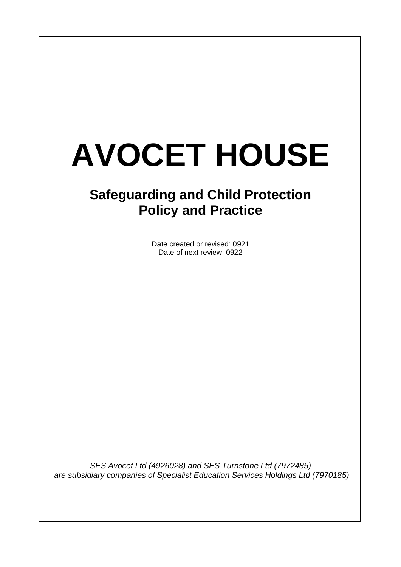# **AVOCET HOUSE**

 $\overline{\phantom{a}}$ 

# **Safeguarding and Child Protection Policy and Practice**

Date created or revised: 0921 Date of next review: 0922

*SES Avocet Ltd (4926028) and SES Turnstone Ltd (7972485) are subsidiary companies of Specialist Education Services Holdings Ltd (7970185)*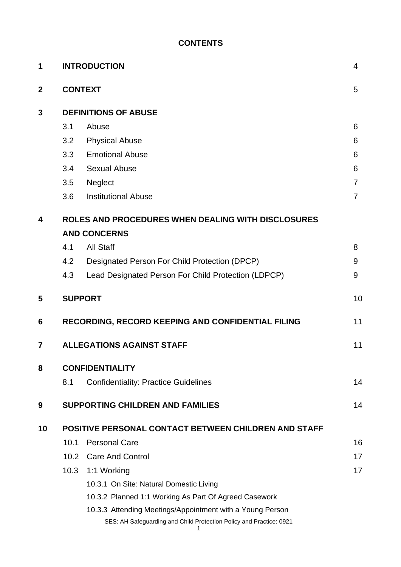# **CONTENTS**

| 1                |                                                      | <b>INTRODUCTION</b>                                                 | $\overline{4}$ |  |  |  |  |
|------------------|------------------------------------------------------|---------------------------------------------------------------------|----------------|--|--|--|--|
| $\boldsymbol{2}$ |                                                      | <b>CONTEXT</b>                                                      |                |  |  |  |  |
| 3                | <b>DEFINITIONS OF ABUSE</b>                          |                                                                     |                |  |  |  |  |
|                  | 3.1                                                  | Abuse                                                               | 6              |  |  |  |  |
|                  | 3.2                                                  | <b>Physical Abuse</b>                                               | 6              |  |  |  |  |
|                  | 3.3                                                  | <b>Emotional Abuse</b>                                              | 6              |  |  |  |  |
|                  | 3.4                                                  | <b>Sexual Abuse</b>                                                 | 6              |  |  |  |  |
|                  | 3.5                                                  | Neglect                                                             | $\overline{7}$ |  |  |  |  |
|                  | 3.6                                                  | <b>Institutional Abuse</b>                                          | $\overline{7}$ |  |  |  |  |
| 4                | ROLES AND PROCEDURES WHEN DEALING WITH DISCLOSURES   |                                                                     |                |  |  |  |  |
|                  | <b>AND CONCERNS</b>                                  |                                                                     |                |  |  |  |  |
|                  | 4.1                                                  | <b>All Staff</b>                                                    | 8              |  |  |  |  |
|                  | 4.2                                                  | Designated Person For Child Protection (DPCP)                       | 9              |  |  |  |  |
|                  | 4.3                                                  | Lead Designated Person For Child Protection (LDPCP)                 | 9              |  |  |  |  |
| 5                |                                                      | <b>SUPPORT</b>                                                      |                |  |  |  |  |
| 6                |                                                      | RECORDING, RECORD KEEPING AND CONFIDENTIAL FILING                   | 11             |  |  |  |  |
| 7                |                                                      | <b>ALLEGATIONS AGAINST STAFF</b>                                    |                |  |  |  |  |
| 8                | <b>CONFIDENTIALITY</b>                               |                                                                     |                |  |  |  |  |
|                  | 8.1                                                  | <b>Confidentiality: Practice Guidelines</b>                         | 14             |  |  |  |  |
| 9                |                                                      | <b>SUPPORTING CHILDREN AND FAMILIES</b>                             | 14             |  |  |  |  |
| 10               | POSITIVE PERSONAL CONTACT BETWEEN CHILDREN AND STAFF |                                                                     |                |  |  |  |  |
|                  | 10.1                                                 | <b>Personal Care</b>                                                | 16             |  |  |  |  |
|                  |                                                      | 10.2 Care And Control                                               | 17             |  |  |  |  |
|                  | 10.3                                                 | 1:1 Working                                                         | 17             |  |  |  |  |
|                  |                                                      | 10.3.1 On Site: Natural Domestic Living                             |                |  |  |  |  |
|                  |                                                      | 10.3.2 Planned 1:1 Working As Part Of Agreed Casework               |                |  |  |  |  |
|                  |                                                      | 10.3.3 Attending Meetings/Appointment with a Young Person           |                |  |  |  |  |
|                  |                                                      | SES: AH Safeguarding and Child Protection Policy and Practice: 0921 |                |  |  |  |  |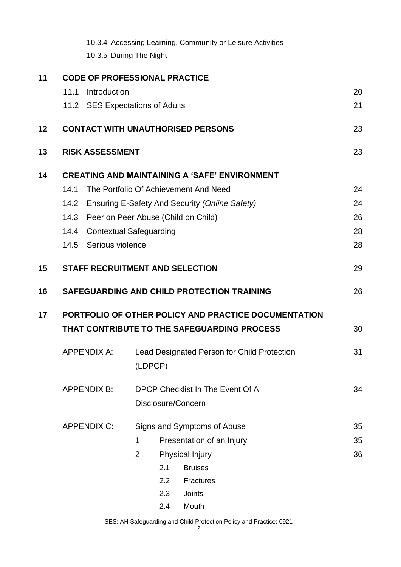|    |                                                      | 10.3.4 Accessing Learning, Community or Leisure Activities<br>10.3.5 During The Night |    |  |  |  |  |  |  |  |
|----|------------------------------------------------------|---------------------------------------------------------------------------------------|----|--|--|--|--|--|--|--|
| 11 | <b>CODE OF PROFESSIONAL PRACTICE</b>                 |                                                                                       |    |  |  |  |  |  |  |  |
|    | Introduction<br>11.1                                 |                                                                                       | 20 |  |  |  |  |  |  |  |
|    |                                                      | 11.2 SES Expectations of Adults                                                       | 21 |  |  |  |  |  |  |  |
| 12 |                                                      | <b>CONTACT WITH UNAUTHORISED PERSONS</b>                                              | 23 |  |  |  |  |  |  |  |
| 13 | <b>RISK ASSESSMENT</b>                               |                                                                                       | 23 |  |  |  |  |  |  |  |
| 14 | <b>CREATING AND MAINTAINING A 'SAFE' ENVIRONMENT</b> |                                                                                       |    |  |  |  |  |  |  |  |
|    | 14.1                                                 | The Portfolio Of Achievement And Need                                                 | 24 |  |  |  |  |  |  |  |
|    | 14.2                                                 | Ensuring E-Safety And Security (Online Safety)                                        | 24 |  |  |  |  |  |  |  |
|    | 14.3                                                 | Peer on Peer Abuse (Child on Child)                                                   | 26 |  |  |  |  |  |  |  |
|    | <b>Contextual Safeguarding</b><br>14.4               |                                                                                       |    |  |  |  |  |  |  |  |
|    | 14.5 Serious violence                                |                                                                                       |    |  |  |  |  |  |  |  |
| 15 |                                                      | <b>STAFF RECRUITMENT AND SELECTION</b>                                                |    |  |  |  |  |  |  |  |
| 16 |                                                      | SAFEGUARDING AND CHILD PROTECTION TRAINING                                            | 26 |  |  |  |  |  |  |  |
| 17 | PORTFOLIO OF OTHER POLICY AND PRACTICE DOCUMENTATION |                                                                                       |    |  |  |  |  |  |  |  |
|    | THAT CONTRIBUTE TO THE SAFEGUARDING PROCESS          |                                                                                       |    |  |  |  |  |  |  |  |
|    | <b>APPENDIX A:</b>                                   | Lead Designated Person for Child Protection                                           |    |  |  |  |  |  |  |  |
|    |                                                      | (LDPCP)                                                                               |    |  |  |  |  |  |  |  |
|    | <b>APPENDIX B:</b>                                   | DPCP Checklist In The Event Of A                                                      |    |  |  |  |  |  |  |  |
|    |                                                      | Disclosure/Concern                                                                    |    |  |  |  |  |  |  |  |
|    | <b>APPENDIX C:</b>                                   | Signs and Symptoms of Abuse                                                           |    |  |  |  |  |  |  |  |
|    |                                                      | 1<br>Presentation of an Injury                                                        | 35 |  |  |  |  |  |  |  |
|    |                                                      | <b>Physical Injury</b><br>$\overline{2}$                                              | 36 |  |  |  |  |  |  |  |
|    |                                                      | 2.1<br><b>Bruises</b>                                                                 |    |  |  |  |  |  |  |  |
|    |                                                      | 2.2<br>Fractures                                                                      |    |  |  |  |  |  |  |  |
|    |                                                      | 2.3<br><b>Joints</b>                                                                  |    |  |  |  |  |  |  |  |
|    |                                                      | Mouth<br>2.4                                                                          |    |  |  |  |  |  |  |  |

SES: AH Safeguarding and Child Protection Policy and Practice: 0921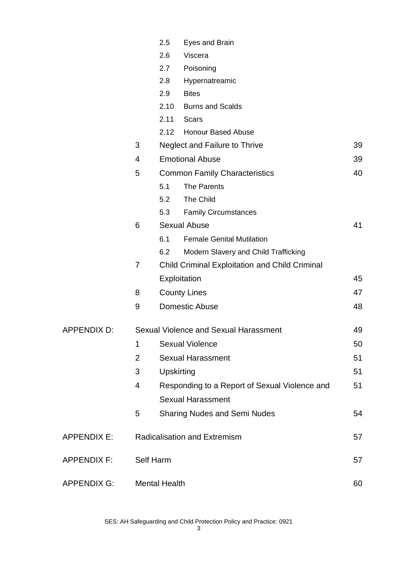|                                 |                                              | 2.5                                  | Eyes and Brain                                        |    |
|---------------------------------|----------------------------------------------|--------------------------------------|-------------------------------------------------------|----|
|                                 |                                              | 2.6                                  | Viscera                                               |    |
|                                 |                                              | 2.7                                  | Poisoning                                             |    |
|                                 |                                              | 2.8                                  | Hypernatreamic                                        |    |
|                                 |                                              | 2.9                                  | <b>Bites</b>                                          |    |
|                                 |                                              | 2.10                                 | <b>Burns and Scalds</b>                               |    |
|                                 |                                              | 2.11                                 | <b>Scars</b>                                          |    |
|                                 |                                              | 2.12                                 | <b>Honour Based Abuse</b>                             |    |
|                                 | 3                                            |                                      | Neglect and Failure to Thrive                         | 39 |
|                                 | 4                                            | <b>Emotional Abuse</b>               |                                                       |    |
|                                 | 5                                            | <b>Common Family Characteristics</b> |                                                       | 40 |
|                                 |                                              | 5.1                                  | The Parents                                           |    |
|                                 |                                              | 5.2                                  | The Child                                             |    |
|                                 |                                              | 5.3                                  | <b>Family Circumstances</b>                           |    |
|                                 | 6                                            |                                      | <b>Sexual Abuse</b>                                   | 41 |
|                                 |                                              | 6.1                                  | <b>Female Genital Mutilation</b>                      |    |
|                                 |                                              | 6.2                                  | Modern Slavery and Child Trafficking                  |    |
|                                 | 7                                            |                                      | <b>Child Criminal Exploitation and Child Criminal</b> |    |
|                                 |                                              |                                      | Exploitation                                          | 45 |
|                                 | 8                                            | <b>County Lines</b>                  |                                                       | 47 |
|                                 | 9                                            |                                      | <b>Domestic Abuse</b>                                 | 48 |
| APPENDIX D:                     | <b>Sexual Violence and Sexual Harassment</b> |                                      |                                                       | 49 |
|                                 | 1                                            | <b>Sexual Violence</b>               |                                                       |    |
|                                 | $\overline{2}$                               | <b>Sexual Harassment</b>             |                                                       |    |
|                                 | 3                                            | Upskirting                           |                                                       |    |
|                                 | 4                                            |                                      | Responding to a Report of Sexual Violence and         | 51 |
|                                 |                                              |                                      | <b>Sexual Harassment</b>                              |    |
|                                 | 5                                            |                                      | <b>Sharing Nudes and Semi Nudes</b>                   | 54 |
| <b>APPENDIX E:</b>              |                                              | <b>Radicalisation and Extremism</b>  |                                                       |    |
| <b>APPENDIX F:</b><br>Self Harm |                                              |                                      |                                                       | 57 |
| <b>APPENDIX G:</b>              | <b>Mental Health</b>                         |                                      |                                                       | 60 |

SES: AH Safeguarding and Child Protection Policy and Practice: 0921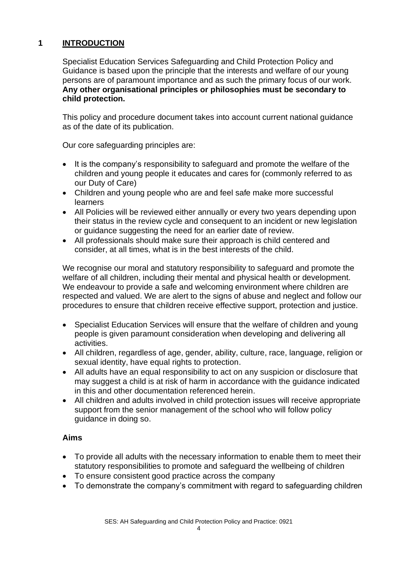# **1 INTRODUCTION**

Specialist Education Services Safeguarding and Child Protection Policy and Guidance is based upon the principle that the interests and welfare of our young persons are of paramount importance and as such the primary focus of our work. **Any other organisational principles or philosophies must be secondary to child protection.**

This policy and procedure document takes into account current national guidance as of the date of its publication.

Our core safeguarding principles are:

- It is the company's responsibility to safeguard and promote the welfare of the children and young people it educates and cares for (commonly referred to as our Duty of Care)
- Children and young people who are and feel safe make more successful learners
- All Policies will be reviewed either annually or every two years depending upon their status in the review cycle and consequent to an incident or new legislation or guidance suggesting the need for an earlier date of review.
- All professionals should make sure their approach is child centered and consider, at all times, what is in the best interests of the child.

We recognise our moral and statutory responsibility to safeguard and promote the welfare of all children, including their mental and physical health or development. We endeavour to provide a safe and welcoming environment where children are respected and valued. We are alert to the signs of abuse and neglect and follow our procedures to ensure that children receive effective support, protection and justice.

- Specialist Education Services will ensure that the welfare of children and young people is given paramount consideration when developing and delivering all activities.
- All children, regardless of age, gender, ability, culture, race, language, religion or sexual identity, have equal rights to protection.
- All adults have an equal responsibility to act on any suspicion or disclosure that may suggest a child is at risk of harm in accordance with the guidance indicated in this and other documentation referenced herein.
- All children and adults involved in child protection issues will receive appropriate support from the senior management of the school who will follow policy guidance in doing so.

#### **Aims**

- To provide all adults with the necessary information to enable them to meet their statutory responsibilities to promote and safeguard the wellbeing of children
- To ensure consistent good practice across the company
- To demonstrate the company's commitment with regard to safeguarding children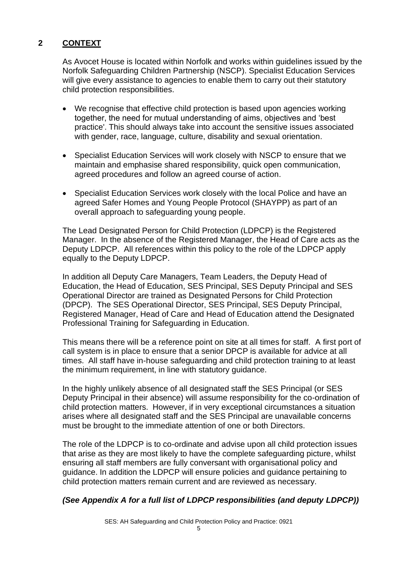# **2 CONTEXT**

As Avocet House is located within Norfolk and works within guidelines issued by the Norfolk Safeguarding Children Partnership (NSCP). Specialist Education Services will give every assistance to agencies to enable them to carry out their statutory child protection responsibilities.

- We recognise that effective child protection is based upon agencies working together, the need for mutual understanding of aims, objectives and 'best practice'. This should always take into account the sensitive issues associated with gender, race, language, culture, disability and sexual orientation.
- Specialist Education Services will work closely with NSCP to ensure that we maintain and emphasise shared responsibility, quick open communication, agreed procedures and follow an agreed course of action.
- Specialist Education Services work closely with the local Police and have an agreed Safer Homes and Young People Protocol (SHAYPP) as part of an overall approach to safeguarding young people.

The Lead Designated Person for Child Protection (LDPCP) is the Registered Manager. In the absence of the Registered Manager, the Head of Care acts as the Deputy LDPCP. All references within this policy to the role of the LDPCP apply equally to the Deputy LDPCP.

In addition all Deputy Care Managers, Team Leaders, the Deputy Head of Education, the Head of Education, SES Principal, SES Deputy Principal and SES Operational Director are trained as Designated Persons for Child Protection (DPCP). The SES Operational Director, SES Principal, SES Deputy Principal, Registered Manager, Head of Care and Head of Education attend the Designated Professional Training for Safeguarding in Education.

This means there will be a reference point on site at all times for staff. A first port of call system is in place to ensure that a senior DPCP is available for advice at all times. All staff have in-house safeguarding and child protection training to at least the minimum requirement, in line with statutory guidance.

In the highly unlikely absence of all designated staff the SES Principal (or SES Deputy Principal in their absence) will assume responsibility for the co-ordination of child protection matters. However, if in very exceptional circumstances a situation arises where all designated staff and the SES Principal are unavailable concerns must be brought to the immediate attention of one or both Directors.

The role of the LDPCP is to co-ordinate and advise upon all child protection issues that arise as they are most likely to have the complete safeguarding picture, whilst ensuring all staff members are fully conversant with organisational policy and guidance. In addition the LDPCP will ensure policies and guidance pertaining to child protection matters remain current and are reviewed as necessary.

# *(See Appendix A for a full list of LDPCP responsibilities (and deputy LDPCP))*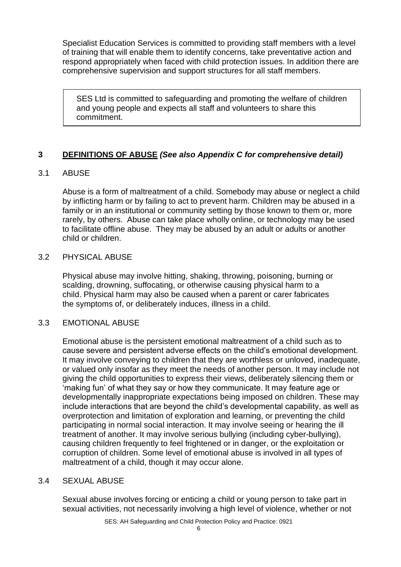Specialist Education Services is committed to providing staff members with a level of training that will enable them to identify concerns, take preventative action and respond appropriately when faced with child protection issues. In addition there are comprehensive supervision and support structures for all staff members.

SES Ltd is committed to safeguarding and promoting the welfare of children and young people and expects all staff and volunteers to share this commitment.

#### **3 DEFINITIONS OF ABUSE** *(See also Appendix C for comprehensive detail)*

#### 3.1 ABUSE

Abuse is a form of maltreatment of a child. Somebody may abuse or neglect a child by inflicting harm or by failing to act to prevent harm. Children may be abused in a family or in an institutional or community setting by those known to them or, more rarely, by others. Abuse can take place wholly online, or technology may be used to facilitate offline abuse. They may be abused by an adult or adults or another child or children.

#### 3.2 PHYSICAL ABUSE

Physical abuse may involve hitting, shaking, throwing, poisoning, burning or scalding, drowning, suffocating, or otherwise causing physical harm to a child. Physical harm may also be caused when a parent or carer fabricates the symptoms of, or deliberately induces, illness in a child.

#### 3.3 EMOTIONAL ABUSE

Emotional abuse is the persistent emotional maltreatment of a child such as to cause severe and persistent adverse effects on the child's emotional development. It may involve conveying to children that they are worthless or unloved, inadequate, or valued only insofar as they meet the needs of another person. It may include not giving the child opportunities to express their views, deliberately silencing them or 'making fun' of what they say or how they communicate. It may feature age or developmentally inappropriate expectations being imposed on children. These may include interactions that are beyond the child's developmental capability, as well as overprotection and limitation of exploration and learning, or preventing the child participating in normal social interaction. It may involve seeing or hearing the ill treatment of another. It may involve serious bullying (including cyber-bullying), causing children frequently to feel frightened or in danger, or the exploitation or corruption of children. Some level of emotional abuse is involved in all types of maltreatment of a child, though it may occur alone.

#### 3.4 SEXUAL ABUSE

Sexual abuse involves forcing or enticing a child or young person to take part in sexual activities, not necessarily involving a high level of violence, whether or not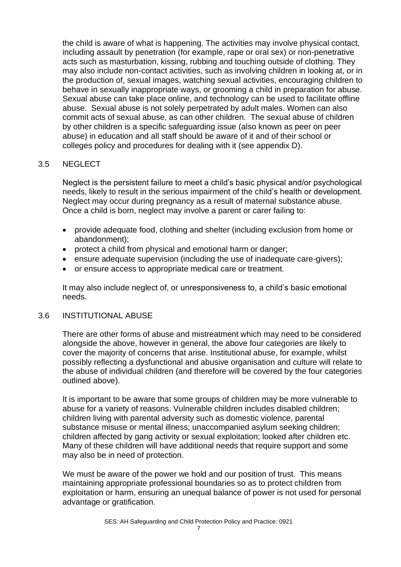the child is aware of what is happening. The activities may involve physical contact, including assault by penetration (for example, rape or oral sex) or non-penetrative acts such as masturbation, kissing, rubbing and touching outside of clothing. They may also include non-contact activities, such as involving children in looking at, or in the production of, sexual images, watching sexual activities, encouraging children to behave in sexually inappropriate ways, or grooming a child in preparation for abuse. Sexual abuse can take place online, and technology can be used to facilitate offline abuse. Sexual abuse is not solely perpetrated by adult males. Women can also commit acts of sexual abuse, as can other children. The sexual abuse of children by other children is a specific safeguarding issue (also known as peer on peer abuse) in education and all staff should be aware of it and of their school or colleges policy and procedures for dealing with it (see appendix D).

#### 3.5 NEGLECT

Neglect is the persistent failure to meet a child's basic physical and/or psychological needs, likely to result in the serious impairment of the child's health or development. Neglect may occur during pregnancy as a result of maternal substance abuse. Once a child is born, neglect may involve a parent or carer failing to:

- provide adequate food, clothing and shelter (including exclusion from home or abandonment);
- protect a child from physical and emotional harm or danger;
- ensure adequate supervision (including the use of inadequate care-givers);
- or ensure access to appropriate medical care or treatment.

It may also include neglect of, or unresponsiveness to, a child's basic emotional needs.

#### 3.6 INSTITUTIONAL ABUSE

There are other forms of abuse and mistreatment which may need to be considered alongside the above, however in general, the above four categories are likely to cover the majority of concerns that arise. Institutional abuse, for example, whilst possibly reflecting a dysfunctional and abusive organisation and culture will relate to the abuse of individual children (and therefore will be covered by the four categories outlined above).

It is important to be aware that some groups of children may be more vulnerable to abuse for a variety of reasons. Vulnerable children includes disabled children; children living with parental adversity such as domestic violence, parental substance misuse or mental illness; unaccompanied asylum seeking children; children affected by gang activity or sexual exploitation; looked after children etc. Many of these children will have additional needs that require support and some may also be in need of protection.

We must be aware of the power we hold and our position of trust. This means maintaining appropriate professional boundaries so as to protect children from exploitation or harm, ensuring an unequal balance of power is not used for personal advantage or gratification.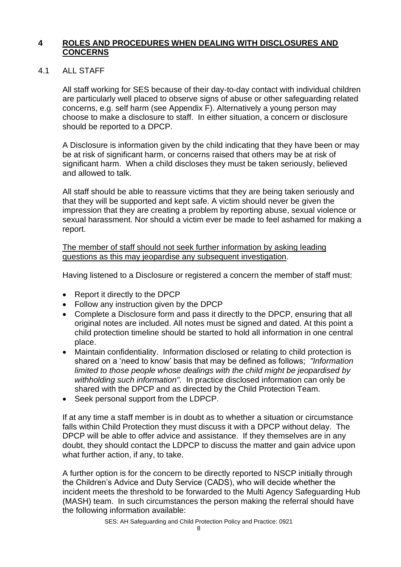#### **4 ROLES AND PROCEDURES WHEN DEALING WITH DISCLOSURES AND CONCERNS**

#### 4.1 ALL STAFF

All staff working for SES because of their day-to-day contact with individual children are particularly well placed to observe signs of abuse or other safeguarding related concerns, e.g. self harm (see Appendix F). Alternatively a young person may choose to make a disclosure to staff. In either situation, a concern or disclosure should be reported to a DPCP.

A Disclosure is information given by the child indicating that they have been or may be at risk of significant harm, or concerns raised that others may be at risk of significant harm. When a child discloses they must be taken seriously, believed and allowed to talk.

All staff should be able to reassure victims that they are being taken seriously and that they will be supported and kept safe. A victim should never be given the impression that they are creating a problem by reporting abuse, sexual violence or sexual harassment. Nor should a victim ever be made to feel ashamed for making a report.

The member of staff should not seek further information by asking leading questions as this may jeopardise any subsequent investigation.

Having listened to a Disclosure or registered a concern the member of staff must:

- Report it directly to the DPCP
- Follow any instruction given by the DPCP
- Complete a Disclosure form and pass it directly to the DPCP, ensuring that all original notes are included. All notes must be signed and dated. At this point a child protection timeline should be started to hold all information in one central place.
- Maintain confidentiality. Information disclosed or relating to child protection is shared on a 'need to know' basis that may be defined as follows; *"Information limited to those people whose dealings with the child might be jeopardised by withholding such information".* In practice disclosed information can only be shared with the DPCP and as directed by the Child Protection Team.
- Seek personal support from the LDPCP.

If at any time a staff member is in doubt as to whether a situation or circumstance falls within Child Protection they must discuss it with a DPCP without delay. The DPCP will be able to offer advice and assistance. If they themselves are in any doubt, they should contact the LDPCP to discuss the matter and gain advice upon what further action, if any, to take.

A further option is for the concern to be directly reported to NSCP initially through the Children's Advice and Duty Service (CADS), who will decide whether the incident meets the threshold to be forwarded to the Multi Agency Safeguarding Hub (MASH) team. In such circumstances the person making the referral should have the following information available: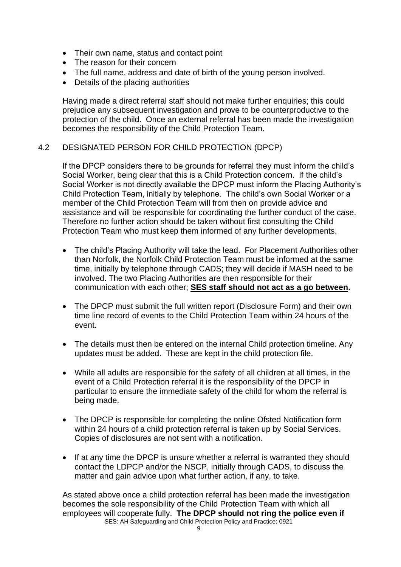- Their own name, status and contact point
- The reason for their concern
- The full name, address and date of birth of the young person involved.
- Details of the placing authorities

Having made a direct referral staff should not make further enquiries; this could prejudice any subsequent investigation and prove to be counterproductive to the protection of the child. Once an external referral has been made the investigation becomes the responsibility of the Child Protection Team.

#### 4.2 DESIGNATED PERSON FOR CHILD PROTECTION (DPCP)

If the DPCP considers there to be grounds for referral they must inform the child's Social Worker, being clear that this is a Child Protection concern. If the child's Social Worker is not directly available the DPCP must inform the Placing Authority's Child Protection Team, initially by telephone. The child's own Social Worker or a member of the Child Protection Team will from then on provide advice and assistance and will be responsible for coordinating the further conduct of the case. Therefore no further action should be taken without first consulting the Child Protection Team who must keep them informed of any further developments.

- The child's Placing Authority will take the lead. For Placement Authorities other than Norfolk, the Norfolk Child Protection Team must be informed at the same time, initially by telephone through CADS; they will decide if MASH need to be involved. The two Placing Authorities are then responsible for their communication with each other; **SES staff should not act as a go between.**
- The DPCP must submit the full written report (Disclosure Form) and their own time line record of events to the Child Protection Team within 24 hours of the event.
- The details must then be entered on the internal Child protection timeline. Any updates must be added. These are kept in the child protection file.
- While all adults are responsible for the safety of all children at all times, in the event of a Child Protection referral it is the responsibility of the DPCP in particular to ensure the immediate safety of the child for whom the referral is being made.
- The DPCP is responsible for completing the online Ofsted Notification form within 24 hours of a child protection referral is taken up by Social Services. Copies of disclosures are not sent with a notification.
- If at any time the DPCP is unsure whether a referral is warranted they should contact the LDPCP and/or the NSCP, initially through CADS, to discuss the matter and gain advice upon what further action, if any, to take.

SES: AH Safeguarding and Child Protection Policy and Practice: 0921 As stated above once a child protection referral has been made the investigation becomes the sole responsibility of the Child Protection Team with which all employees will cooperate fully. **The DPCP should not ring the police even if**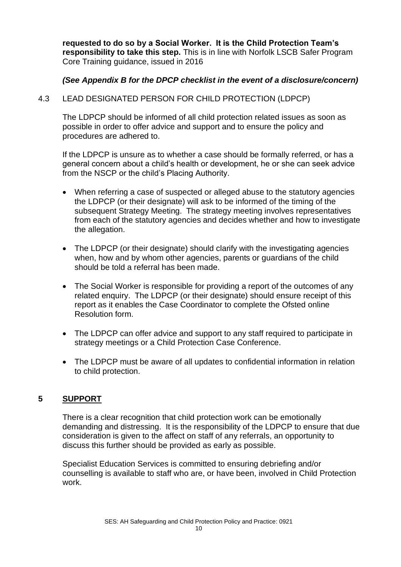**requested to do so by a Social Worker. It is the Child Protection Team's responsibility to take this step.** This is in line with Norfolk LSCB Safer Program Core Training guidance, issued in 2016

# *(See Appendix B for the DPCP checklist in the event of a disclosure/concern)*

#### 4.3 LEAD DESIGNATED PERSON FOR CHILD PROTECTION (LDPCP)

The LDPCP should be informed of all child protection related issues as soon as possible in order to offer advice and support and to ensure the policy and procedures are adhered to.

If the LDPCP is unsure as to whether a case should be formally referred, or has a general concern about a child's health or development, he or she can seek advice from the NSCP or the child's Placing Authority.

- When referring a case of suspected or alleged abuse to the statutory agencies the LDPCP (or their designate) will ask to be informed of the timing of the subsequent Strategy Meeting. The strategy meeting involves representatives from each of the statutory agencies and decides whether and how to investigate the allegation.
- The LDPCP (or their designate) should clarify with the investigating agencies when, how and by whom other agencies, parents or guardians of the child should be told a referral has been made.
- The Social Worker is responsible for providing a report of the outcomes of any related enquiry. The LDPCP (or their designate) should ensure receipt of this report as it enables the Case Coordinator to complete the Ofsted online Resolution form.
- The LDPCP can offer advice and support to any staff required to participate in strategy meetings or a Child Protection Case Conference.
- The LDPCP must be aware of all updates to confidential information in relation to child protection.

# **5 SUPPORT**

There is a clear recognition that child protection work can be emotionally demanding and distressing. It is the responsibility of the LDPCP to ensure that due consideration is given to the affect on staff of any referrals, an opportunity to discuss this further should be provided as early as possible.

Specialist Education Services is committed to ensuring debriefing and/or counselling is available to staff who are, or have been, involved in Child Protection work.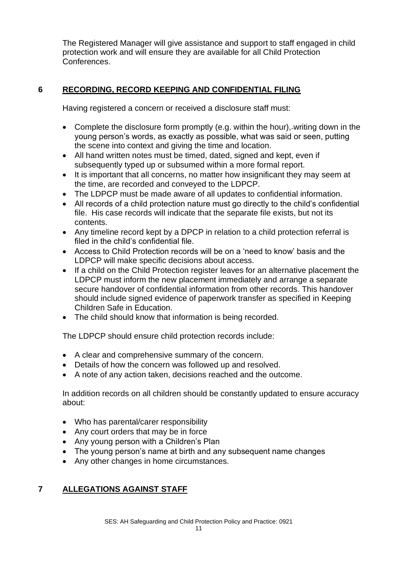The Registered Manager will give assistance and support to staff engaged in child protection work and will ensure they are available for all Child Protection Conferences.

# **6 RECORDING, RECORD KEEPING AND CONFIDENTIAL FILING**

Having registered a concern or received a disclosure staff must:

- Complete the disclosure form promptly (e.g. within the hour), writing down in the young person's words, as exactly as possible, what was said or seen, putting the scene into context and giving the time and location.
- All hand written notes must be timed, dated, signed and kept, even if subsequently typed up or subsumed within a more formal report.
- It is important that all concerns, no matter how insignificant they may seem at the time, are recorded and conveyed to the LDPCP.
- The LDPCP must be made aware of all updates to confidential information.
- All records of a child protection nature must go directly to the child's confidential file. His case records will indicate that the separate file exists, but not its contents.
- Any timeline record kept by a DPCP in relation to a child protection referral is filed in the child's confidential file.
- Access to Child Protection records will be on a 'need to know' basis and the LDPCP will make specific decisions about access.
- If a child on the Child Protection register leaves for an alternative placement the LDPCP must inform the new placement immediately and arrange a separate secure handover of confidential information from other records. This handover should include signed evidence of paperwork transfer as specified in Keeping Children Safe in Education.
- The child should know that information is being recorded.

The LDPCP should ensure child protection records include:

- A clear and comprehensive summary of the concern.
- Details of how the concern was followed up and resolved.
- A note of any action taken, decisions reached and the outcome.

In addition records on all children should be constantly updated to ensure accuracy about:

- Who has parental/carer responsibility
- Any court orders that may be in force
- Any young person with a Children's Plan
- The young person's name at birth and any subsequent name changes
- Any other changes in home circumstances.

# **7 ALLEGATIONS AGAINST STAFF**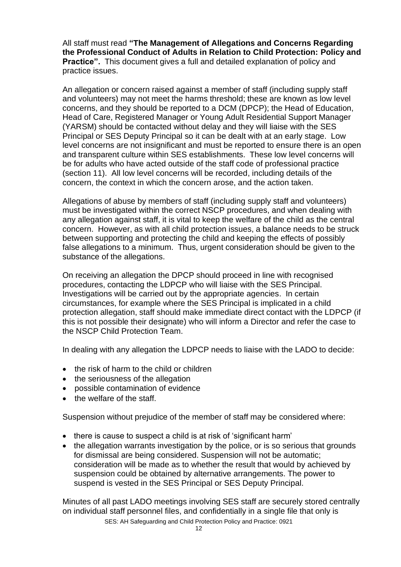All staff must read **"The Management of Allegations and Concerns Regarding the Professional Conduct of Adults in Relation to Child Protection: Policy and Practice".** This document gives a full and detailed explanation of policy and practice issues.

An allegation or concern raised against a member of staff (including supply staff and volunteers) may not meet the harms threshold; these are known as low level concerns, and they should be reported to a DCM (DPCP); the Head of Education, Head of Care, Registered Manager or Young Adult Residential Support Manager (YARSM) should be contacted without delay and they will liaise with the SES Principal or SES Deputy Principal so it can be dealt with at an early stage. Low level concerns are not insignificant and must be reported to ensure there is an open and transparent culture within SES establishments. These low level concerns will be for adults who have acted outside of the staff code of professional practice (section 11). All low level concerns will be recorded, including details of the concern, the context in which the concern arose, and the action taken.

Allegations of abuse by members of staff (including supply staff and volunteers) must be investigated within the correct NSCP procedures, and when dealing with any allegation against staff, it is vital to keep the welfare of the child as the central concern. However, as with all child protection issues, a balance needs to be struck between supporting and protecting the child and keeping the effects of possibly false allegations to a minimum. Thus, urgent consideration should be given to the substance of the allegations.

On receiving an allegation the DPCP should proceed in line with recognised procedures, contacting the LDPCP who will liaise with the SES Principal. Investigations will be carried out by the appropriate agencies. In certain circumstances, for example where the SES Principal is implicated in a child protection allegation, staff should make immediate direct contact with the LDPCP (if this is not possible their designate) who will inform a Director and refer the case to the NSCP Child Protection Team.

In dealing with any allegation the LDPCP needs to liaise with the LADO to decide:

- the risk of harm to the child or children
- the seriousness of the allegation
- possible contamination of evidence
- the welfare of the staff.

Suspension without prejudice of the member of staff may be considered where:

- there is cause to suspect a child is at risk of 'significant harm'
- the allegation warrants investigation by the police, or is so serious that grounds for dismissal are being considered. Suspension will not be automatic; consideration will be made as to whether the result that would by achieved by suspension could be obtained by alternative arrangements. The power to suspend is vested in the SES Principal or SES Deputy Principal.

Minutes of all past LADO meetings involving SES staff are securely stored centrally on individual staff personnel files, and confidentially in a single file that only is

SES: AH Safeguarding and Child Protection Policy and Practice: 0921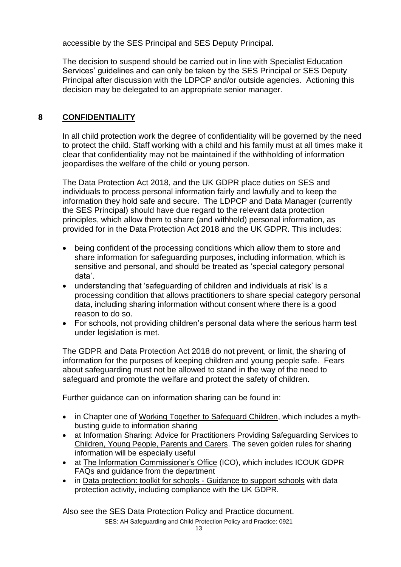accessible by the SES Principal and SES Deputy Principal.

The decision to suspend should be carried out in line with Specialist Education Services' guidelines and can only be taken by the SES Principal or SES Deputy Principal after discussion with the LDPCP and/or outside agencies. Actioning this decision may be delegated to an appropriate senior manager.

# **8 CONFIDENTIALITY**

In all child protection work the degree of confidentiality will be governed by the need to protect the child. Staff working with a child and his family must at all times make it clear that confidentiality may not be maintained if the withholding of information jeopardises the welfare of the child or young person.

The Data Protection Act 2018, and the UK GDPR place duties on SES and individuals to process personal information fairly and lawfully and to keep the information they hold safe and secure. The LDPCP and Data Manager (currently the SES Principal) should have due regard to the relevant data protection principles, which allow them to share (and withhold) personal information, as provided for in the Data Protection Act 2018 and the UK GDPR. This includes:

- being confident of the processing conditions which allow them to store and share information for safeguarding purposes, including information, which is sensitive and personal, and should be treated as 'special category personal data'.
- understanding that 'safeguarding of children and individuals at risk' is a processing condition that allows practitioners to share special category personal data, including sharing information without consent where there is a good reason to do so.
- For schools, not providing children's personal data where the serious harm test under legislation is met.

The GDPR and Data Protection Act 2018 do not prevent, or limit, the sharing of information for the purposes of keeping children and young people safe. Fears about safeguarding must not be allowed to stand in the way of the need to safeguard and promote the welfare and protect the safety of children.

Further guidance can on information sharing can be found in:

- in Chapter one of [Working Together to Safeguard Children,](https://assets.publishing.service.gov.uk/government/uploads/system/uploads/attachment_data/file/942454/Working_together_to_safeguard_children_inter_agency_guidance.pdf) which includes a mythbusting guide to information sharing
- at [Information Sharing: Advice for Practitioners Providing Safeguarding Services to](https://assets.publishing.service.gov.uk/government/uploads/system/uploads/attachment_data/file/721581/Information_sharing_advice_practitioners_safeguarding_services.pdf)  [Children, Young People, Parents and Carers.](https://assets.publishing.service.gov.uk/government/uploads/system/uploads/attachment_data/file/721581/Information_sharing_advice_practitioners_safeguarding_services.pdf) The seven golden rules for sharing information will be especially useful
- at [The Information Commissioner's Office](https://ico.org.uk/for-organisations/sme-web-hub/) (ICO), which includes ICOUK GDPR FAQs and guidance from the department
- in [Data protection: toolkit for schools -](https://assets.publishing.service.gov.uk/government/uploads/system/uploads/attachment_data/file/747620/Data_Protection_Toolkit_for_Schools_OpenBeta.pdf) Guidance to support schools with data protection activity, including compliance with the UK GDPR.

SES: AH Safeguarding and Child Protection Policy and Practice: 0921 Also see the SES Data Protection Policy and Practice document.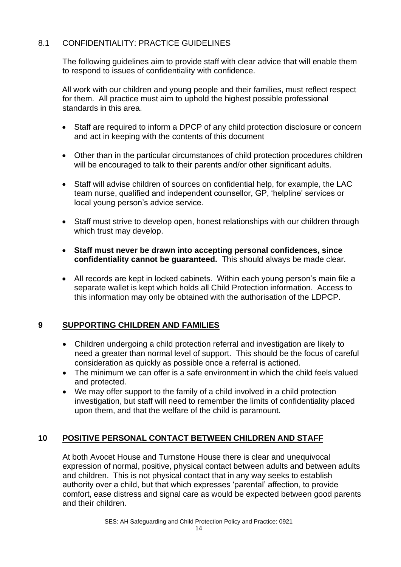# 8.1 CONFIDENTIALITY: PRACTICE GUIDELINES

The following guidelines aim to provide staff with clear advice that will enable them to respond to issues of confidentiality with confidence.

All work with our children and young people and their families, must reflect respect for them. All practice must aim to uphold the highest possible professional standards in this area.

- Staff are required to inform a DPCP of any child protection disclosure or concern and act in keeping with the contents of this document
- Other than in the particular circumstances of child protection procedures children will be encouraged to talk to their parents and/or other significant adults.
- Staff will advise children of sources on confidential help, for example, the LAC team nurse, qualified and independent counsellor, GP, 'helpline' services or local young person's advice service.
- Staff must strive to develop open, honest relationships with our children through which trust may develop.
- **Staff must never be drawn into accepting personal confidences, since confidentiality cannot be guaranteed.** This should always be made clear.
- All records are kept in locked cabinets. Within each young person's main file a separate wallet is kept which holds all Child Protection information. Access to this information may only be obtained with the authorisation of the LDPCP.

# **9 SUPPORTING CHILDREN AND FAMILIES**

- Children undergoing a child protection referral and investigation are likely to need a greater than normal level of support. This should be the focus of careful consideration as quickly as possible once a referral is actioned.
- The minimum we can offer is a safe environment in which the child feels valued and protected.
- We may offer support to the family of a child involved in a child protection investigation, but staff will need to remember the limits of confidentiality placed upon them, and that the welfare of the child is paramount.

# **10 POSITIVE PERSONAL CONTACT BETWEEN CHILDREN AND STAFF**

At both Avocet House and Turnstone House there is clear and unequivocal expression of normal, positive, physical contact between adults and between adults and children. This is not physical contact that in any way seeks to establish authority over a child, but that which expresses 'parental' affection, to provide comfort, ease distress and signal care as would be expected between good parents and their children.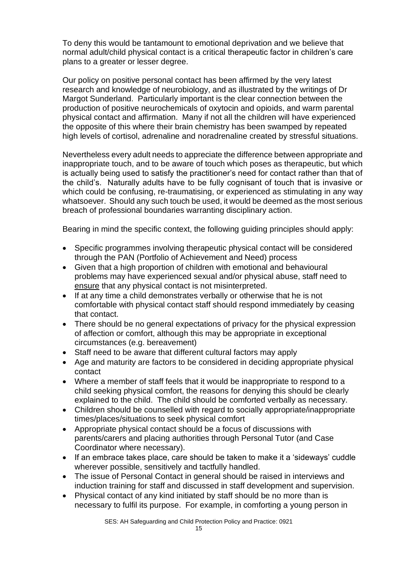To deny this would be tantamount to emotional deprivation and we believe that normal adult/child physical contact is a critical therapeutic factor in children's care plans to a greater or lesser degree.

Our policy on positive personal contact has been affirmed by the very latest research and knowledge of neurobiology, and as illustrated by the writings of Dr Margot Sunderland. Particularly important is the clear connection between the production of positive neurochemicals of oxytocin and opioids, and warm parental physical contact and affirmation. Many if not all the children will have experienced the opposite of this where their brain chemistry has been swamped by repeated high levels of cortisol, adrenaline and noradrenaline created by stressful situations.

Nevertheless every adult needs to appreciate the difference between appropriate and inappropriate touch, and to be aware of touch which poses as therapeutic, but which is actually being used to satisfy the practitioner's need for contact rather than that of the child's. Naturally adults have to be fully cognisant of touch that is invasive or which could be confusing, re-traumatising, or experienced as stimulating in any way whatsoever. Should any such touch be used, it would be deemed as the most serious breach of professional boundaries warranting disciplinary action.

Bearing in mind the specific context, the following guiding principles should apply:

- Specific programmes involving therapeutic physical contact will be considered through the PAN (Portfolio of Achievement and Need) process
- Given that a high proportion of children with emotional and behavioural problems may have experienced sexual and/or physical abuse, staff need to ensure that any physical contact is not misinterpreted.
- If at any time a child demonstrates verbally or otherwise that he is not comfortable with physical contact staff should respond immediately by ceasing that contact.
- There should be no general expectations of privacy for the physical expression of affection or comfort, although this may be appropriate in exceptional circumstances (e.g. bereavement)
- Staff need to be aware that different cultural factors may apply
- Age and maturity are factors to be considered in deciding appropriate physical contact
- Where a member of staff feels that it would be inappropriate to respond to a child seeking physical comfort, the reasons for denying this should be clearly explained to the child. The child should be comforted verbally as necessary.
- Children should be counselled with regard to socially appropriate/inappropriate times/places/situations to seek physical comfort
- Appropriate physical contact should be a focus of discussions with parents/carers and placing authorities through Personal Tutor (and Case Coordinator where necessary).
- If an embrace takes place, care should be taken to make it a 'sideways' cuddle wherever possible, sensitively and tactfully handled.
- The issue of Personal Contact in general should be raised in interviews and induction training for staff and discussed in staff development and supervision.
- Physical contact of any kind initiated by staff should be no more than is necessary to fulfil its purpose. For example, in comforting a young person in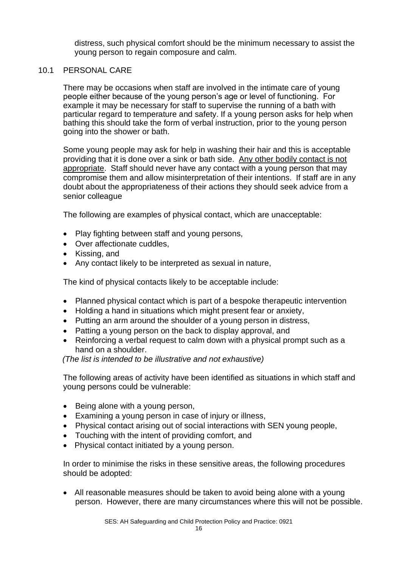distress, such physical comfort should be the minimum necessary to assist the young person to regain composure and calm.

#### 10.1 PERSONAL CARE

There may be occasions when staff are involved in the intimate care of young people either because of the young person's age or level of functioning. For example it may be necessary for staff to supervise the running of a bath with particular regard to temperature and safety. If a young person asks for help when bathing this should take the form of verbal instruction, prior to the young person going into the shower or bath.

Some young people may ask for help in washing their hair and this is acceptable providing that it is done over a sink or bath side. Any other bodily contact is not appropriate. Staff should never have any contact with a young person that may compromise them and allow misinterpretation of their intentions. If staff are in any doubt about the appropriateness of their actions they should seek advice from a senior colleague

The following are examples of physical contact, which are unacceptable:

- Play fighting between staff and young persons,
- Over affectionate cuddles,
- Kissing, and
- Any contact likely to be interpreted as sexual in nature,

The kind of physical contacts likely to be acceptable include:

- Planned physical contact which is part of a bespoke therapeutic intervention
- Holding a hand in situations which might present fear or anxiety,
- Putting an arm around the shoulder of a young person in distress.
- Patting a young person on the back to display approval, and
- Reinforcing a verbal request to calm down with a physical prompt such as a hand on a shoulder.

*(The list is intended to be illustrative and not exhaustive)*

The following areas of activity have been identified as situations in which staff and young persons could be vulnerable:

- Being alone with a young person,
- Examining a young person in case of injury or illness,
- Physical contact arising out of social interactions with SEN young people,
- Touching with the intent of providing comfort, and
- Physical contact initiated by a young person.

In order to minimise the risks in these sensitive areas, the following procedures should be adopted:

• All reasonable measures should be taken to avoid being alone with a young person. However, there are many circumstances where this will not be possible.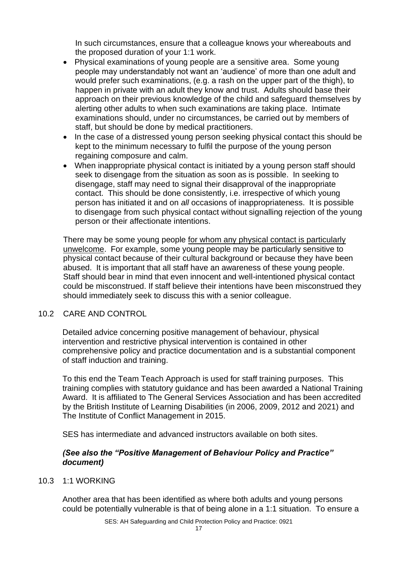In such circumstances, ensure that a colleague knows your whereabouts and the proposed duration of your 1:1 work.

- Physical examinations of young people are a sensitive area. Some young people may understandably not want an 'audience' of more than one adult and would prefer such examinations, (e.g. a rash on the upper part of the thigh), to happen in private with an adult they know and trust. Adults should base their approach on their previous knowledge of the child and safeguard themselves by alerting other adults to when such examinations are taking place. Intimate examinations should, under no circumstances, be carried out by members of staff, but should be done by medical practitioners.
- In the case of a distressed young person seeking physical contact this should be kept to the minimum necessary to fulfil the purpose of the young person regaining composure and calm.
- When inappropriate physical contact is initiated by a young person staff should seek to disengage from the situation as soon as is possible. In seeking to disengage, staff may need to signal their disapproval of the inappropriate contact. This should be done consistently, i.e. irrespective of which young person has initiated it and on *all* occasions of inappropriateness. It is possible to disengage from such physical contact without signalling rejection of the young person or their affectionate intentions.

There may be some young people for whom any physical contact is particularly unwelcome. For example, some young people may be particularly sensitive to physical contact because of their cultural background or because they have been abused. It is important that all staff have an awareness of these young people. Staff should bear in mind that even innocent and well-intentioned physical contact could be misconstrued. If staff believe their intentions have been misconstrued they should immediately seek to discuss this with a senior colleague.

#### 10.2 CARE AND CONTROL

Detailed advice concerning positive management of behaviour, physical intervention and restrictive physical intervention is contained in other comprehensive policy and practice documentation and is a substantial component of staff induction and training.

To this end the Team Teach Approach is used for staff training purposes. This training complies with statutory guidance and has been awarded a National Training Award. It is affiliated to The General Services Association and has been accredited by the British Institute of Learning Disabilities (in 2006, 2009, 2012 and 2021) and The Institute of Conflict Management in 2015.

SES has intermediate and advanced instructors available on both sites.

#### *(See also the "Positive Management of Behaviour Policy and Practice" document)*

10.3 1:1 WORKING

Another area that has been identified as where both adults and young persons could be potentially vulnerable is that of being alone in a 1:1 situation. To ensure a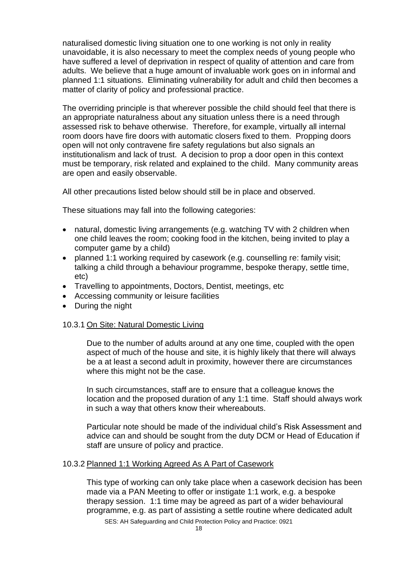naturalised domestic living situation one to one working is not only in reality unavoidable, it is also necessary to meet the complex needs of young people who have suffered a level of deprivation in respect of quality of attention and care from adults. We believe that a huge amount of invaluable work goes on in informal and planned 1:1 situations. Eliminating vulnerability for adult and child then becomes a matter of clarity of policy and professional practice.

The overriding principle is that wherever possible the child should feel that there is an appropriate naturalness about any situation unless there is a need through assessed risk to behave otherwise. Therefore, for example, virtually all internal room doors have fire doors with automatic closers fixed to them. Propping doors open will not only contravene fire safety regulations but also signals an institutionalism and lack of trust. A decision to prop a door open in this context must be temporary, risk related and explained to the child. Many community areas are open and easily observable.

All other precautions listed below should still be in place and observed.

These situations may fall into the following categories:

- natural, domestic living arrangements (e.g. watching TV with 2 children when one child leaves the room; cooking food in the kitchen, being invited to play a computer game by a child)
- planned 1:1 working required by casework (e.g. counselling re: family visit; talking a child through a behaviour programme, bespoke therapy, settle time, etc)
- Travelling to appointments, Doctors, Dentist, meetings, etc
- Accessing community or leisure facilities
- During the night

# 10.3.1 On Site: Natural Domestic Living

Due to the number of adults around at any one time, coupled with the open aspect of much of the house and site, it is highly likely that there will always be a at least a second adult in proximity, however there are circumstances where this might not be the case.

In such circumstances, staff are to ensure that a colleague knows the location and the proposed duration of any 1:1 time. Staff should always work in such a way that others know their whereabouts.

Particular note should be made of the individual child's Risk Assessment and advice can and should be sought from the duty DCM or Head of Education if staff are unsure of policy and practice.

# 10.3.2 Planned 1:1 Working Agreed As A Part of Casework

This type of working can only take place when a casework decision has been made via a PAN Meeting to offer or instigate 1:1 work, e.g. a bespoke therapy session. 1:1 time may be agreed as part of a wider behavioural programme, e.g. as part of assisting a settle routine where dedicated adult

SES: AH Safeguarding and Child Protection Policy and Practice: 0921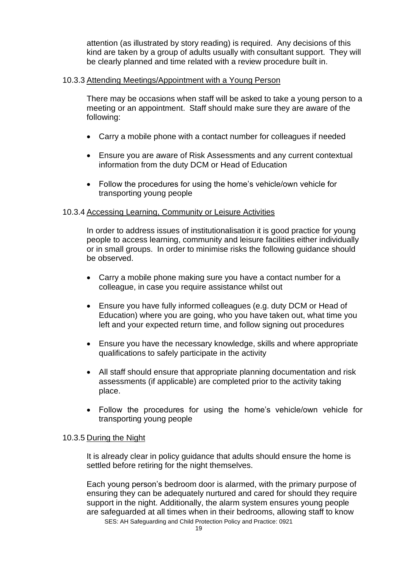attention (as illustrated by story reading) is required. Any decisions of this kind are taken by a group of adults usually with consultant support. They will be clearly planned and time related with a review procedure built in.

#### 10.3.3 Attending Meetings/Appointment with a Young Person

There may be occasions when staff will be asked to take a young person to a meeting or an appointment. Staff should make sure they are aware of the following:

- Carry a mobile phone with a contact number for colleagues if needed
- Ensure you are aware of Risk Assessments and any current contextual information from the duty DCM or Head of Education
- Follow the procedures for using the home's vehicle/own vehicle for transporting young people

#### 10.3.4 Accessing Learning, Community or Leisure Activities

In order to address issues of institutionalisation it is good practice for young people to access learning, community and leisure facilities either individually or in small groups. In order to minimise risks the following guidance should be observed.

- Carry a mobile phone making sure you have a contact number for a colleague, in case you require assistance whilst out
- Ensure you have fully informed colleagues (e.g. duty DCM or Head of Education) where you are going, who you have taken out, what time you left and your expected return time, and follow signing out procedures
- Ensure you have the necessary knowledge, skills and where appropriate qualifications to safely participate in the activity
- All staff should ensure that appropriate planning documentation and risk assessments (if applicable) are completed prior to the activity taking place.
- Follow the procedures for using the home's vehicle/own vehicle for transporting young people

#### 10.3.5 During the Night

It is already clear in policy guidance that adults should ensure the home is settled before retiring for the night themselves.

SES: AH Safeguarding and Child Protection Policy and Practice: 0921 Each young person's bedroom door is alarmed, with the primary purpose of ensuring they can be adequately nurtured and cared for should they require support in the night. Additionally, the alarm system ensures young people are safeguarded at all times when in their bedrooms, allowing staff to know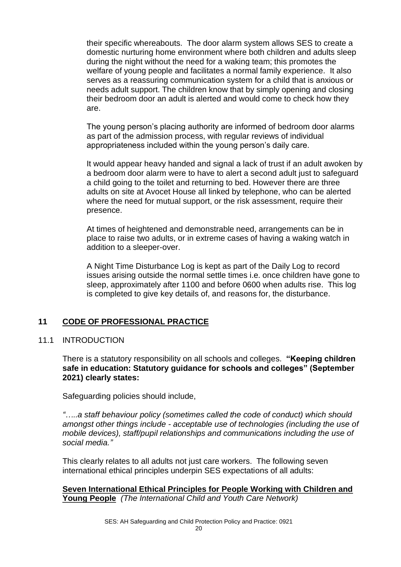their specific whereabouts. The door alarm system allows SES to create a domestic nurturing home environment where both children and adults sleep during the night without the need for a waking team; this promotes the welfare of young people and facilitates a normal family experience. It also serves as a reassuring communication system for a child that is anxious or needs adult support. The children know that by simply opening and closing their bedroom door an adult is alerted and would come to check how they are.

The young person's placing authority are informed of bedroom door alarms as part of the admission process, with regular reviews of individual appropriateness included within the young person's daily care.

It would appear heavy handed and signal a lack of trust if an adult awoken by a bedroom door alarm were to have to alert a second adult just to safeguard a child going to the toilet and returning to bed. However there are three adults on site at Avocet House all linked by telephone, who can be alerted where the need for mutual support, or the risk assessment, require their presence.

At times of heightened and demonstrable need, arrangements can be in place to raise two adults, or in extreme cases of having a waking watch in addition to a sleeper-over.

A Night Time Disturbance Log is kept as part of the Daily Log to record issues arising outside the normal settle times i.e. once children have gone to sleep, approximately after 1100 and before 0600 when adults rise. This log is completed to give key details of, and reasons for, the disturbance.

# **11 CODE OF PROFESSIONAL PRACTICE**

#### 11.1 INTRODUCTION

There is a statutory responsibility on all schools and colleges. **"Keeping children safe in education: Statutory guidance for schools and colleges" (September 2021) clearly states:**

Safeguarding policies should include,

*"…..a staff behaviour policy (sometimes called the code of conduct) which should amongst other things include - acceptable use of technologies (including the use of mobile devices), staff/pupil relationships and communications including the use of social media."*

This clearly relates to all adults not just care workers. The following seven international ethical principles underpin SES expectations of all adults:

**Seven International Ethical Principles for People Working with Children and Young People** *(The International Child and Youth Care Network)*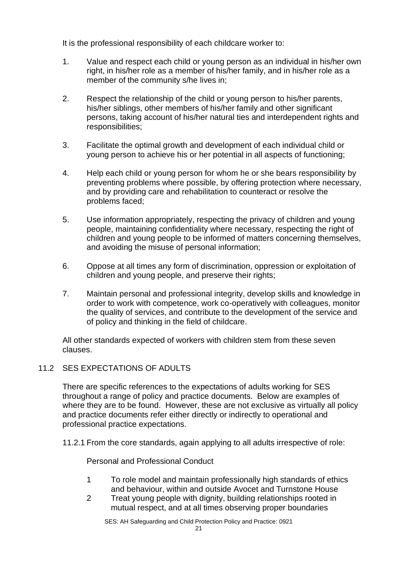It is the professional responsibility of each childcare worker to:

- 1. Value and respect each child or young person as an individual in his/her own right, in his/her role as a member of his/her family, and in his/her role as a member of the community s/he lives in;
- 2. Respect the relationship of the child or young person to his/her parents, his/her siblings, other members of his/her family and other significant persons, taking account of his/her natural ties and interdependent rights and responsibilities;
- 3. Facilitate the optimal growth and development of each individual child or young person to achieve his or her potential in all aspects of functioning;
- 4. Help each child or young person for whom he or she bears responsibility by preventing problems where possible, by offering protection where necessary, and by providing care and rehabilitation to counteract or resolve the problems faced;
- 5. Use information appropriately, respecting the privacy of children and young people, maintaining confidentiality where necessary, respecting the right of children and young people to be informed of matters concerning themselves, and avoiding the misuse of personal information;
- 6. Oppose at all times any form of discrimination, oppression or exploitation of children and young people, and preserve their rights;
- 7. Maintain personal and professional integrity, develop skills and knowledge in order to work with competence, work co-operatively with colleagues, monitor the quality of services, and contribute to the development of the service and of policy and thinking in the field of childcare.

All other standards expected of workers with children stem from these seven clauses.

# 11.2 SES EXPECTATIONS OF ADULTS

There are specific references to the expectations of adults working for SES throughout a range of policy and practice documents. Below are examples of where they are to be found. However, these are not exclusive as virtually all policy and practice documents refer either directly or indirectly to operational and professional practice expectations.

11.2.1 From the core standards, again applying to all adults irrespective of role:

Personal and Professional Conduct

- 1 To role model and maintain professionally high standards of ethics and behaviour, within and outside Avocet and Turnstone House
- 2 Treat young people with dignity, building relationships rooted in mutual respect, and at all times observing proper boundaries

SES: AH Safeguarding and Child Protection Policy and Practice: 0921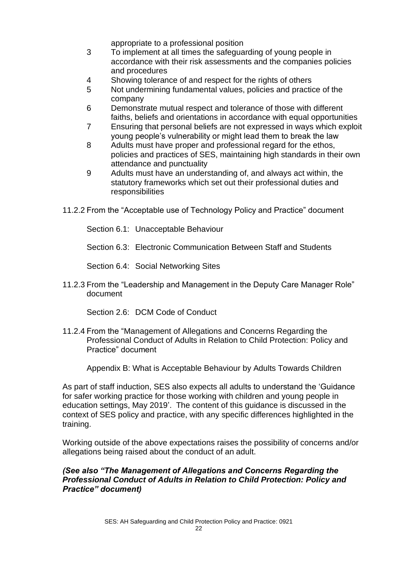appropriate to a professional position

- 3 To implement at all times the safeguarding of young people in accordance with their risk assessments and the companies policies and procedures
- 4 Showing tolerance of and respect for the rights of others
- 5 Not undermining fundamental values, policies and practice of the company
- 6 Demonstrate mutual respect and tolerance of those with different faiths, beliefs and orientations in accordance with equal opportunities
- 7 Ensuring that personal beliefs are not expressed in ways which exploit young people's vulnerability or might lead them to break the law
- 8 Adults must have proper and professional regard for the ethos, policies and practices of SES, maintaining high standards in their own attendance and punctuality
- 9 Adults must have an understanding of, and always act within, the statutory frameworks which set out their professional duties and responsibilities
- 11.2.2 From the "Acceptable use of Technology Policy and Practice" document

Section 6.1: Unacceptable Behaviour

Section 6.3: Electronic Communication Between Staff and Students

Section 6.4: Social Networking Sites

11.2.3 From the "Leadership and Management in the Deputy Care Manager Role" document

Section 2.6: DCM Code of Conduct

11.2.4 From the "Management of Allegations and Concerns Regarding the Professional Conduct of Adults in Relation to Child Protection: Policy and Practice" document

Appendix B: What is Acceptable Behaviour by Adults Towards Children

As part of staff induction, SES also expects all adults to understand the 'Guidance for safer working practice for those working with children and young people in education settings, May 2019'. The content of this guidance is discussed in the context of SES policy and practice, with any specific differences highlighted in the training.

Working outside of the above expectations raises the possibility of concerns and/or allegations being raised about the conduct of an adult.

#### *(See also "The Management of Allegations and Concerns Regarding the Professional Conduct of Adults in Relation to Child Protection: Policy and Practice" document)*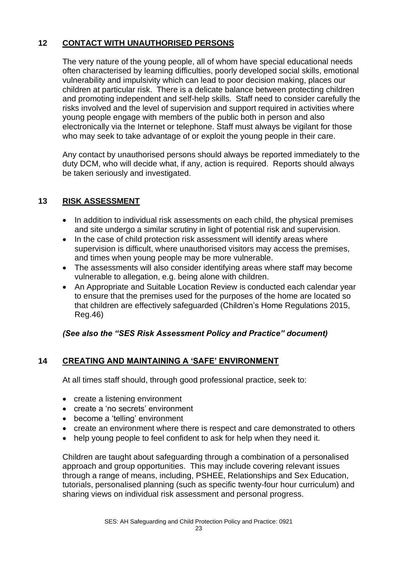# **12 CONTACT WITH UNAUTHORISED PERSONS**

The very nature of the young people, all of whom have special educational needs often characterised by learning difficulties, poorly developed social skills, emotional vulnerability and impulsivity which can lead to poor decision making, places our children at particular risk. There is a delicate balance between protecting children and promoting independent and self-help skills. Staff need to consider carefully the risks involved and the level of supervision and support required in activities where young people engage with members of the public both in person and also electronically via the Internet or telephone. Staff must always be vigilant for those who may seek to take advantage of or exploit the young people in their care.

Any contact by unauthorised persons should always be reported immediately to the duty DCM, who will decide what, if any, action is required. Reports should always be taken seriously and investigated.

# **13 RISK ASSESSMENT**

- In addition to individual risk assessments on each child, the physical premises and site undergo a similar scrutiny in light of potential risk and supervision.
- In the case of child protection risk assessment will identify areas where supervision is difficult, where unauthorised visitors may access the premises, and times when young people may be more vulnerable.
- The assessments will also consider identifying areas where staff may become vulnerable to allegation, e.g. being alone with children.
- An Appropriate and Suitable Location Review is conducted each calendar year to ensure that the premises used for the purposes of the home are located so that children are effectively safeguarded (Children's Home Regulations 2015, Reg.46)

# *(See also the "SES Risk Assessment Policy and Practice" document)*

# **14 CREATING AND MAINTAINING A 'SAFE' ENVIRONMENT**

At all times staff should, through good professional practice, seek to:

- create a listening environment
- create a 'no secrets' environment
- become a 'telling' environment
- create an environment where there is respect and care demonstrated to others
- help young people to feel confident to ask for help when they need it.

Children are taught about safeguarding through a combination of a personalised approach and group opportunities. This may include covering relevant issues through a range of means, including, PSHEE, Relationships and Sex Education, tutorials, personalised planning (such as specific twenty-four hour curriculum) and sharing views on individual risk assessment and personal progress.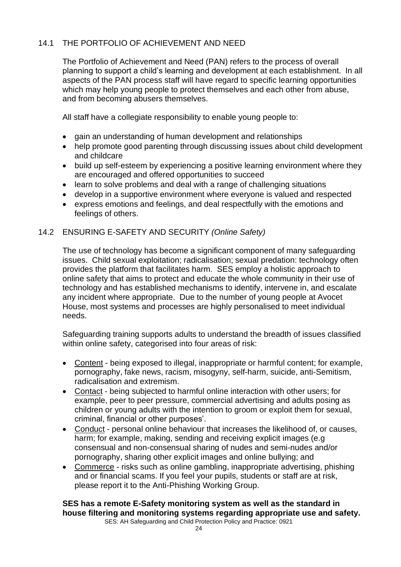# 14.1 THE PORTFOLIO OF ACHIEVEMENT AND NEED

The Portfolio of Achievement and Need (PAN) refers to the process of overall planning to support a child's learning and development at each establishment. In all aspects of the PAN process staff will have regard to specific learning opportunities which may help young people to protect themselves and each other from abuse, and from becoming abusers themselves.

All staff have a collegiate responsibility to enable young people to:

- gain an understanding of human development and relationships
- help promote good parenting through discussing issues about child development and childcare
- build up self-esteem by experiencing a positive learning environment where they are encouraged and offered opportunities to succeed
- learn to solve problems and deal with a range of challenging situations
- develop in a supportive environment where everyone is valued and respected
- express emotions and feelings, and deal respectfully with the emotions and feelings of others.

# 14.2 ENSURING E-SAFETY AND SECURITY *(Online Safety)*

The use of technology has become a significant component of many safeguarding issues. Child sexual exploitation; radicalisation; sexual predation: technology often provides the platform that facilitates harm. SES employ a holistic approach to online safety that aims to protect and educate the whole community in their use of technology and has established mechanisms to identify, intervene in, and escalate any incident where appropriate. Due to the number of young people at Avocet House, most systems and processes are highly personalised to meet individual needs.

Safeguarding training supports adults to understand the breadth of issues classified within online safety, categorised into four areas of risk:

- Content being exposed to illegal, inappropriate or harmful content; for example, pornography, fake news, racism, misogyny, self-harm, suicide, anti-Semitism, radicalisation and extremism.
- Contact being subjected to harmful online interaction with other users; for example, peer to peer pressure, commercial advertising and adults posing as children or young adults with the intention to groom or exploit them for sexual, criminal, financial or other purposes'.
- Conduct personal online behaviour that increases the likelihood of, or causes, harm; for example, making, sending and receiving explicit images (e.g consensual and non-consensual sharing of nudes and semi-nudes and/or pornography, sharing other explicit images and online bullying; and
- Commerce risks such as online gambling, inappropriate advertising, phishing and or financial scams. If you feel your pupils, students or staff are at risk, please report it to the Anti-Phishing Working Group.

**SES has a remote E-Safety monitoring system as well as the standard in house filtering and monitoring systems regarding appropriate use and safety.**

SES: AH Safeguarding and Child Protection Policy and Practice: 0921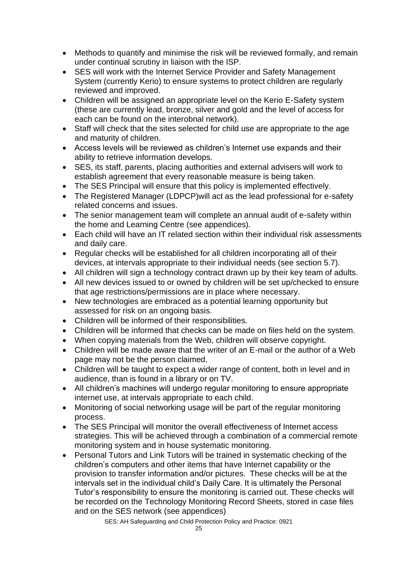- Methods to quantify and minimise the risk will be reviewed formally, and remain under continual scrutiny in liaison with the ISP.
- SES will work with the Internet Service Provider and Safety Management System (currently Kerio) to ensure systems to protect children are regularly reviewed and improved.
- Children will be assigned an appropriate level on the Kerio E-Safety system (these are currently lead, bronze, silver and gold and the level of access for each can be found on the interobnal network).
- Staff will check that the sites selected for child use are appropriate to the age and maturity of children.
- Access levels will be reviewed as children's Internet use expands and their ability to retrieve information develops.
- SES, its staff, parents, placing authorities and external advisers will work to establish agreement that every reasonable measure is being taken.
- The SES Principal will ensure that this policy is implemented effectively.
- The Registered Manager (LDPCP) will act as the lead professional for e-safety related concerns and issues.
- The senior management team will complete an annual audit of e-safety within the home and Learning Centre (see appendices).
- Each child will have an IT related section within their individual risk assessments and daily care.
- Regular checks will be established for all children incorporating all of their devices, at intervals appropriate to their individual needs (see section 5.7).
- All children will sign a technology contract drawn up by their key team of adults.
- All new devices issued to or owned by children will be set up/checked to ensure that age restrictions/permissions are in place where necessary.
- New technologies are embraced as a potential learning opportunity but assessed for risk on an ongoing basis.
- Children will be informed of their responsibilities.
- Children will be informed that checks can be made on files held on the system.
- When copying materials from the Web, children will observe copyright.
- Children will be made aware that the writer of an E-mail or the author of a Web page may not be the person claimed.
- Children will be taught to expect a wider range of content, both in level and in audience, than is found in a library or on TV.
- All children's machines will undergo regular monitoring to ensure appropriate internet use, at intervals appropriate to each child.
- Monitoring of social networking usage will be part of the regular monitoring process.
- The SES Principal will monitor the overall effectiveness of Internet access strategies. This will be achieved through a combination of a commercial remote monitoring system and in house systematic monitoring.
- Personal Tutors and Link Tutors will be trained in systematic checking of the children's computers and other items that have Internet capability or the provision to transfer information and/or pictures. These checks will be at the intervals set in the individual child's Daily Care. It is ultimately the Personal Tutor's responsibility to ensure the monitoring is carried out. These checks will be recorded on the Technology Monitoring Record Sheets, stored in case files and on the SES network (see appendices)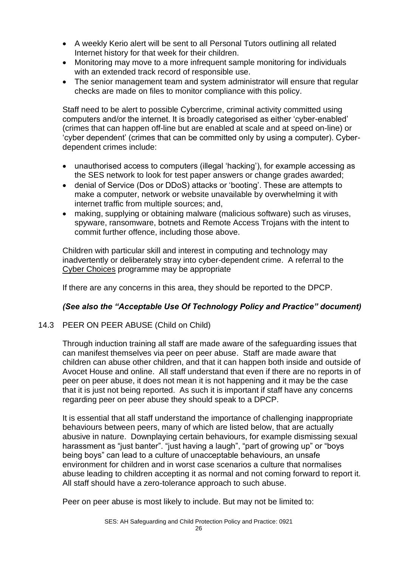- A weekly Kerio alert will be sent to all Personal Tutors outlining all related Internet history for that week for their children.
- Monitoring may move to a more infrequent sample monitoring for individuals with an extended track record of responsible use.
- The senior management team and system administrator will ensure that regular checks are made on files to monitor compliance with this policy.

Staff need to be alert to possible Cybercrime, criminal activity committed using computers and/or the internet. It is broadly categorised as either 'cyber-enabled' (crimes that can happen off-line but are enabled at scale and at speed on-line) or 'cyber dependent' (crimes that can be committed only by using a computer). Cyberdependent crimes include:

- unauthorised access to computers (illegal 'hacking'), for example accessing as the SES network to look for test paper answers or change grades awarded;
- denial of Service (Dos or DDoS) attacks or 'booting'. These are attempts to make a computer, network or website unavailable by overwhelming it with internet traffic from multiple sources; and,
- making, supplying or obtaining malware (malicious software) such as viruses, spyware, ransomware, botnets and Remote Access Trojans with the intent to commit further offence, including those above.

Children with particular skill and interest in computing and technology may inadvertently or deliberately stray into cyber-dependent crime. A referral to the [Cyber Choices](https://nationalcrimeagency.gov.uk/what-we-do/crime-threats/cyber-crime/cyberchoices) programme may be appropriate

If there are any concerns in this area, they should be reported to the DPCP.

# *(See also the "Acceptable Use Of Technology Policy and Practice" document)*

# 14.3 PEER ON PEER ABUSE (Child on Child)

Through induction training all staff are made aware of the safeguarding issues that can manifest themselves via peer on peer abuse. Staff are made aware that children can abuse other children, and that it can happen both inside and outside of Avocet House and online. All staff understand that even if there are no reports in of peer on peer abuse, it does not mean it is not happening and it may be the case that it is just not being reported. As such it is important if staff have any concerns regarding peer on peer abuse they should speak to a DPCP.

It is essential that all staff understand the importance of challenging inappropriate behaviours between peers, many of which are listed below, that are actually abusive in nature. Downplaying certain behaviours, for example dismissing sexual harassment as "just banter". "just having a laugh", "part of growing up" or "boys being boys" can lead to a culture of unacceptable behaviours, an unsafe environment for children and in worst case scenarios a culture that normalises abuse leading to children accepting it as normal and not coming forward to report it. All staff should have a zero-tolerance approach to such abuse.

Peer on peer abuse is most likely to include. But may not be limited to: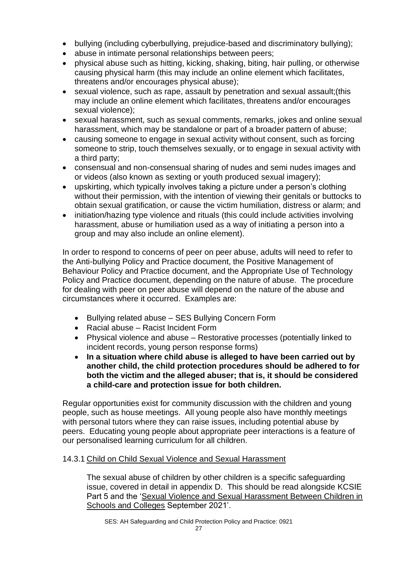- bullying (including cyberbullying, prejudice-based and discriminatory bullying);
- abuse in intimate personal relationships between peers;
- physical abuse such as hitting, kicking, shaking, biting, hair pulling, or otherwise causing physical harm (this may include an online element which facilitates, threatens and/or encourages physical abuse);
- sexual violence, such as rape, assault by penetration and sexual assault;(this may include an online element which facilitates, threatens and/or encourages sexual violence);
- sexual harassment, such as sexual comments, remarks, jokes and online sexual harassment, which may be standalone or part of a broader pattern of abuse;
- causing someone to engage in sexual activity without consent, such as forcing someone to strip, touch themselves sexually, or to engage in sexual activity with a third party;
- consensual and non-consensual sharing of nudes and semi nudes images and or videos (also known as sexting or youth produced sexual imagery);
- upskirting, which typically involves taking a picture under a person's clothing without their permission, with the intention of viewing their genitals or buttocks to obtain sexual gratification, or cause the victim humiliation, distress or alarm; and
- initiation/hazing type violence and rituals (this could include activities involving harassment, abuse or humiliation used as a way of initiating a person into a group and may also include an online element).

In order to respond to concerns of peer on peer abuse, adults will need to refer to the Anti-bullying Policy and Practice document, the Positive Management of Behaviour Policy and Practice document, and the Appropriate Use of Technology Policy and Practice document, depending on the nature of abuse. The procedure for dealing with peer on peer abuse will depend on the nature of the abuse and circumstances where it occurred. Examples are:

- Bullying related abuse SES Bullying Concern Form
- Racial abuse Racist Incident Form
- Physical violence and abuse Restorative processes (potentially linked to incident records, young person response forms)
- **In a situation where child abuse is alleged to have been carried out by another child, the child protection procedures should be adhered to for both the victim and the alleged abuser; that is, it should be considered a child-care and protection issue for both children.**

Regular opportunities exist for community discussion with the children and young people, such as house meetings. All young people also have monthly meetings with personal tutors where they can raise issues, including potential abuse by peers. Educating young people about appropriate peer interactions is a feature of our personalised learning curriculum for all children.

# 14.3.1 Child on Child Sexual Violence and Sexual Harassment

The sexual abuse of children by other children is a specific safeguarding issue, covered in detail in appendix D. This should be read alongside KCSIE Part 5 and the ['Sexual Violence and Sexual Harassment Between Children in](https://assets.publishing.service.gov.uk/government/uploads/system/uploads/attachment_data/file/999239/SVSH_2021.pdf)  [Schools and Colleges](https://assets.publishing.service.gov.uk/government/uploads/system/uploads/attachment_data/file/999239/SVSH_2021.pdf) September 2021'.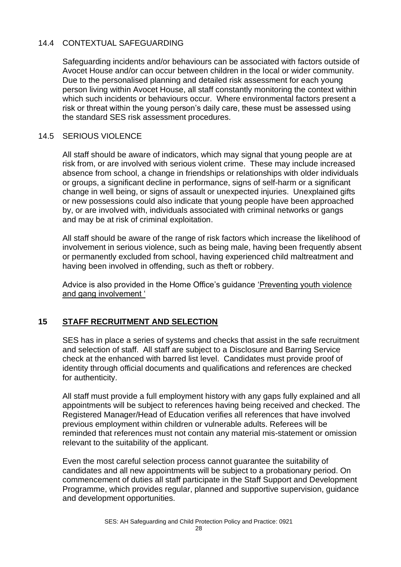# 14.4 CONTEXTUAL SAFEGUARDING

Safeguarding incidents and/or behaviours can be associated with factors outside of Avocet House and/or can occur between children in the local or wider community. Due to the personalised planning and detailed risk assessment for each young person living within Avocet House, all staff constantly monitoring the context within which such incidents or behaviours occur. Where environmental factors present a risk or threat within the young person's daily care, these must be assessed using the standard SES risk assessment procedures.

#### 14.5 SERIOUS VIOLENCE

All staff should be aware of indicators, which may signal that young people are at risk from, or are involved with serious violent crime. These may include increased absence from school, a change in friendships or relationships with older individuals or groups, a significant decline in performance, signs of self-harm or a significant change in well being, or signs of assault or unexpected injuries. Unexplained gifts or new possessions could also indicate that young people have been approached by, or are involved with, individuals associated with criminal networks or gangs and may be at risk of criminal exploitation.

All staff should be aware of the range of risk factors which increase the likelihood of involvement in serious violence, such as being male, having been frequently absent or permanently excluded from school, having experienced child maltreatment and having been involved in offending, such as theft or robbery.

Advice is also provided in the Home Office's guidance ['Preventing youth violence](https://assets.publishing.service.gov.uk/government/uploads/system/uploads/attachment_data/file/418131/Preventing_youth_violence_and_gang_involvement_v3_March2015.pdf)  [and gang involvement '](https://assets.publishing.service.gov.uk/government/uploads/system/uploads/attachment_data/file/418131/Preventing_youth_violence_and_gang_involvement_v3_March2015.pdf)

# **15 STAFF RECRUITMENT AND SELECTION**

SES has in place a series of systems and checks that assist in the safe recruitment and selection of staff. All staff are subject to a Disclosure and Barring Service check at the enhanced with barred list level. Candidates must provide proof of identity through official documents and qualifications and references are checked for authenticity.

All staff must provide a full employment history with any gaps fully explained and all appointments will be subject to references having being received and checked. The Registered Manager/Head of Education verifies all references that have involved previous employment within children or vulnerable adults. Referees will be reminded that references must not contain any material mis-statement or omission relevant to the suitability of the applicant.

Even the most careful selection process cannot guarantee the suitability of candidates and all new appointments will be subject to a probationary period. On commencement of duties all staff participate in the Staff Support and Development Programme, which provides regular, planned and supportive supervision, guidance and development opportunities.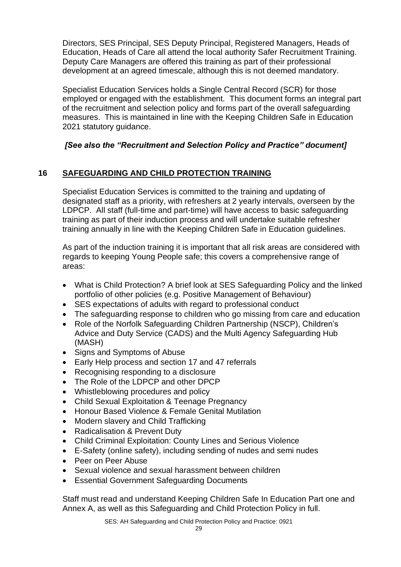Directors, SES Principal, SES Deputy Principal, Registered Managers, Heads of Education, Heads of Care all attend the local authority Safer Recruitment Training. Deputy Care Managers are offered this training as part of their professional development at an agreed timescale, although this is not deemed mandatory.

Specialist Education Services holds a Single Central Record (SCR) for those employed or engaged with the establishment. This document forms an integral part of the recruitment and selection policy and forms part of the overall safeguarding measures. This is maintained in line with the Keeping Children Safe in Education 2021 statutory guidance.

# *[See also the "Recruitment and Selection Policy and Practice" document]*

# **16 SAFEGUARDING AND CHILD PROTECTION TRAINING**

Specialist Education Services is committed to the training and updating of designated staff as a priority, with refreshers at 2 yearly intervals, overseen by the LDPCP. All staff (full-time and part-time) will have access to basic safeguarding training as part of their induction process and will undertake suitable refresher training annually in line with the Keeping Children Safe in Education guidelines.

As part of the induction training it is important that all risk areas are considered with regards to keeping Young People safe; this covers a comprehensive range of areas:

- What is Child Protection? A brief look at SES Safeguarding Policy and the linked portfolio of other policies (e.g. Positive Management of Behaviour)
- SES expectations of adults with regard to professional conduct
- The safeguarding response to children who go missing from care and education
- Role of the Norfolk Safeguarding Children Partnership (NSCP), Children's Advice and Duty Service (CADS) and the Multi Agency Safeguarding Hub (MASH)
- Signs and Symptoms of Abuse
- Early Help process and section 17 and 47 referrals
- Recognising responding to a disclosure
- The Role of the LDPCP and other DPCP
- Whistleblowing procedures and policy
- Child Sexual Exploitation & Teenage Pregnancy
- Honour Based Violence & Female Genital Mutilation
- Modern slavery and Child Trafficking
- Radicalisation & Prevent Duty
- Child Criminal Exploitation: County Lines and Serious Violence
- E-Safety (online safety), including sending of nudes and semi nudes
- Peer on Peer Abuse
- Sexual violence and sexual harassment between children
- Essential Government Safeguarding Documents

Staff must read and understand Keeping Children Safe In Education Part one and Annex A, as well as this Safeguarding and Child Protection Policy in full.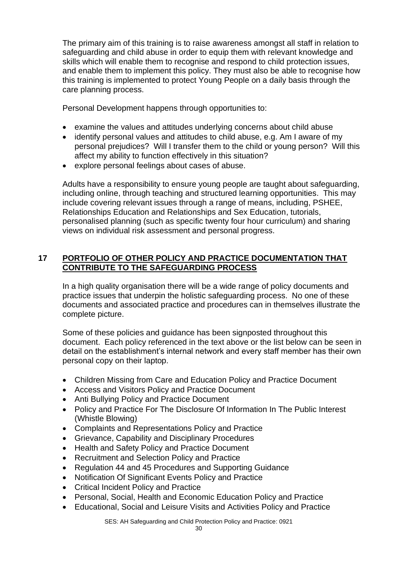The primary aim of this training is to raise awareness amongst all staff in relation to safeguarding and child abuse in order to equip them with relevant knowledge and skills which will enable them to recognise and respond to child protection issues, and enable them to implement this policy. They must also be able to recognise how this training is implemented to protect Young People on a daily basis through the care planning process.

Personal Development happens through opportunities to:

- examine the values and attitudes underlying concerns about child abuse
- identify personal values and attitudes to child abuse, e.g. Am I aware of my personal prejudices? Will I transfer them to the child or young person? Will this affect my ability to function effectively in this situation?
- explore personal feelings about cases of abuse.

Adults have a responsibility to ensure young people are taught about safeguarding, including online, through teaching and structured learning opportunities. This may include covering relevant issues through a range of means, including, PSHEE, Relationships Education and Relationships and Sex Education, tutorials, personalised planning (such as specific twenty four hour curriculum) and sharing views on individual risk assessment and personal progress.

# **17 PORTFOLIO OF OTHER POLICY AND PRACTICE DOCUMENTATION THAT CONTRIBUTE TO THE SAFEGUARDING PROCESS**

In a high quality organisation there will be a wide range of policy documents and practice issues that underpin the holistic safeguarding process. No one of these documents and associated practice and procedures can in themselves illustrate the complete picture.

Some of these policies and guidance has been signposted throughout this document. Each policy referenced in the text above or the list below can be seen in detail on the establishment's internal network and every staff member has their own personal copy on their laptop.

- Children Missing from Care and Education Policy and Practice Document
- Access and Visitors Policy and Practice Document
- Anti Bullying Policy and Practice Document
- Policy and Practice For The Disclosure Of Information In The Public Interest (Whistle Blowing)
- Complaints and Representations Policy and Practice
- Grievance, Capability and Disciplinary Procedures
- Health and Safety Policy and Practice Document
- Recruitment and Selection Policy and Practice
- Regulation 44 and 45 Procedures and Supporting Guidance
- Notification Of Significant Events Policy and Practice
- Critical Incident Policy and Practice
- Personal, Social, Health and Economic Education Policy and Practice
- Educational, Social and Leisure Visits and Activities Policy and Practice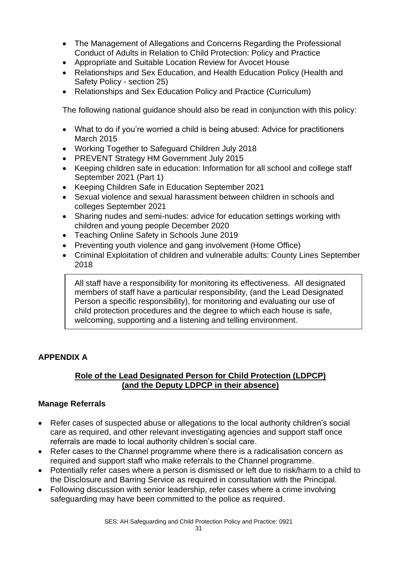- The Management of Allegations and Concerns Regarding the Professional Conduct of Adults in Relation to Child Protection: Policy and Practice
- Appropriate and Suitable Location Review for Avocet House
- Relationships and Sex Education, and Health Education Policy (Health and Safety Policy - section 25)
- Relationships and Sex Education Policy and Practice (Curriculum)

The following national guidance should also be read in conjunction with this policy:

- What to do if you're worried a child is being abused: Advice for practitioners March 2015
- Working Together to Safeguard Children July 2018
- PREVENT Strategy HM Government July 2015
- Keeping children safe in education: Information for all school and college staff September 2021 (Part 1)
- Keeping Children Safe in Education September 2021
- Sexual violence and sexual harassment between children in schools and colleges September 2021
- Sharing nudes and semi-nudes: advice for education settings working with children and young people December 2020
- Teaching Online Safety in Schools June 2019
- Preventing youth violence and gang involvement (Home Office)
- Criminal Exploitation of children and vulnerable adults: County Lines September 2018

All staff have a responsibility for monitoring its effectiveness. All designated members of staff have a particular responsibility, (and the Lead Designated Person a specific responsibility), for monitoring and evaluating our use of child protection procedures and the degree to which each house is safe, welcoming, supporting and a listening and telling environment.

# **APPENDIX A**

# **Role of the Lead Designated Person for Child Protection (LDPCP) (and the Deputy LDPCP in their absence)**

# **Manage Referrals**

- Refer cases of suspected abuse or allegations to the local authority children's social care as required, and other relevant investigating agencies and support staff once referrals are made to local authority children's social care.
- Refer cases to the Channel programme where there is a radicalisation concern as required and support staff who make referrals to the Channel programme.
- Potentially refer cases where a person is dismissed or left due to risk/harm to a child to the Disclosure and Barring Service as required in consultation with the Principal.
- Following discussion with senior leadership, refer cases where a crime involving safeguarding may have been committed to the police as required.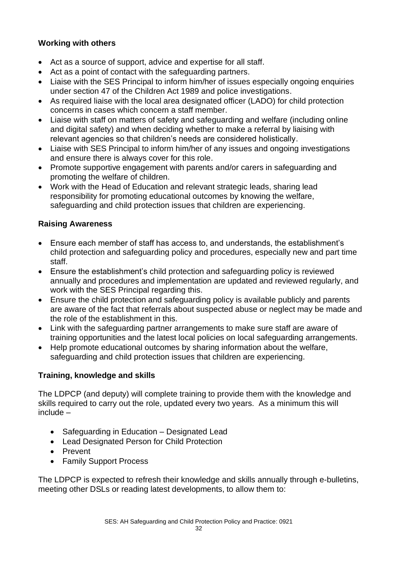# **Working with others**

- Act as a source of support, advice and expertise for all staff.
- Act as a point of contact with the safeguarding partners.
- Liaise with the SES Principal to inform him/her of issues especially ongoing enquiries under section 47 of the Children Act 1989 and police investigations.
- As required liaise with the local area designated officer (LADO) for child protection concerns in cases which concern a staff member.
- Liaise with staff on matters of safety and safeguarding and welfare (including online and digital safety) and when deciding whether to make a referral by liaising with relevant agencies so that children's needs are considered holistically.
- Liaise with SES Principal to inform him/her of any issues and ongoing investigations and ensure there is always cover for this role.
- Promote supportive engagement with parents and/or carers in safeguarding and promoting the welfare of children.
- Work with the Head of Education and relevant strategic leads, sharing lead responsibility for promoting educational outcomes by knowing the welfare, safeguarding and child protection issues that children are experiencing.

# **Raising Awareness**

- Ensure each member of staff has access to, and understands, the establishment's child protection and safeguarding policy and procedures, especially new and part time staff.
- Ensure the establishment's child protection and safeguarding policy is reviewed annually and procedures and implementation are updated and reviewed regularly, and work with the SES Principal regarding this.
- Ensure the child protection and safeguarding policy is available publicly and parents are aware of the fact that referrals about suspected abuse or neglect may be made and the role of the establishment in this.
- Link with the safeguarding partner arrangements to make sure staff are aware of training opportunities and the latest local policies on local safeguarding arrangements.
- Help promote educational outcomes by sharing information about the welfare, safeguarding and child protection issues that children are experiencing.

# **Training, knowledge and skills**

The LDPCP (and deputy) will complete training to provide them with the knowledge and skills required to carry out the role, updated every two years. As a minimum this will include –

- Safeguarding in Education Designated Lead
- Lead Designated Person for Child Protection
- Prevent
- Family Support Process

The LDPCP is expected to refresh their knowledge and skills annually through e-bulletins, meeting other DSLs or reading latest developments, to allow them to: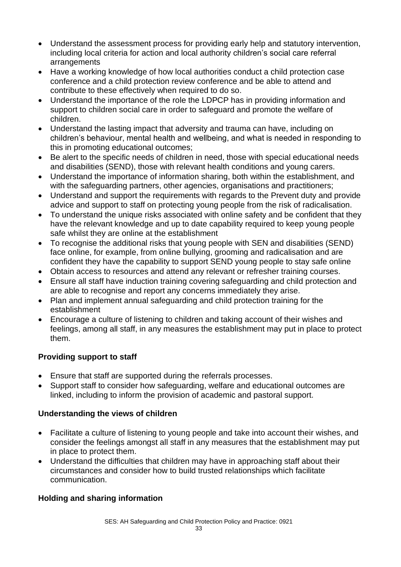- Understand the assessment process for providing early help and statutory intervention, including local criteria for action and local authority children's social care referral arrangements
- Have a working knowledge of how local authorities conduct a child protection case conference and a child protection review conference and be able to attend and contribute to these effectively when required to do so.
- Understand the importance of the role the LDPCP has in providing information and support to children social care in order to safeguard and promote the welfare of children.
- Understand the lasting impact that adversity and trauma can have, including on children's behaviour, mental health and wellbeing, and what is needed in responding to this in promoting educational outcomes;
- Be alert to the specific needs of children in need, those with special educational needs and disabilities (SEND), those with relevant health conditions and young carers.
- Understand the importance of information sharing, both within the establishment, and with the safeguarding partners, other agencies, organisations and practitioners;
- Understand and support the requirements with regards to the Prevent duty and provide advice and support to staff on protecting young people from the risk of radicalisation.
- To understand the unique risks associated with online safety and be confident that they have the relevant knowledge and up to date capability required to keep young people safe whilst they are online at the establishment
- To recognise the additional risks that young people with SEN and disabilities (SEND) face online, for example, from online bullying, grooming and radicalisation and are confident they have the capability to support SEND young people to stay safe online
- Obtain access to resources and attend any relevant or refresher training courses.
- Ensure all staff have induction training covering safeguarding and child protection and are able to recognise and report any concerns immediately they arise.
- Plan and implement annual safeguarding and child protection training for the establishment
- Encourage a culture of listening to children and taking account of their wishes and feelings, among all staff, in any measures the establishment may put in place to protect them.

# **Providing support to staff**

- Ensure that staff are supported during the referrals processes.
- Support staff to consider how safeguarding, welfare and educational outcomes are linked, including to inform the provision of academic and pastoral support.

# **Understanding the views of children**

- Facilitate a culture of listening to young people and take into account their wishes, and consider the feelings amongst all staff in any measures that the establishment may put in place to protect them.
- Understand the difficulties that children may have in approaching staff about their circumstances and consider how to build trusted relationships which facilitate communication.

# **Holding and sharing information**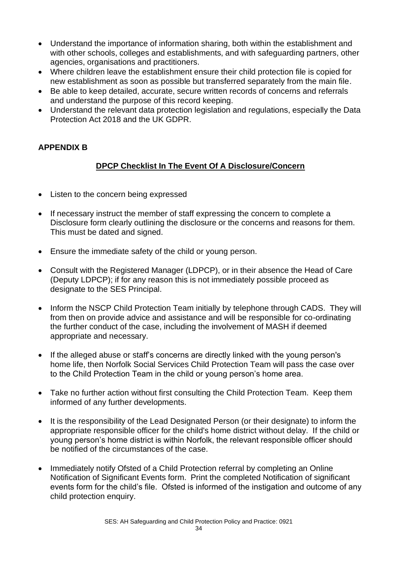- Understand the importance of information sharing, both within the establishment and with other schools, colleges and establishments, and with safeguarding partners, other agencies, organisations and practitioners.
- Where children leave the establishment ensure their child protection file is copied for new establishment as soon as possible but transferred separately from the main file.
- Be able to keep detailed, accurate, secure written records of concerns and referrals and understand the purpose of this record keeping.
- Understand the relevant data protection legislation and regulations, especially the Data Protection Act 2018 and the UK GDPR.

# **APPENDIX B**

# **DPCP Checklist In The Event Of A Disclosure/Concern**

- Listen to the concern being expressed
- If necessary instruct the member of staff expressing the concern to complete a Disclosure form clearly outlining the disclosure or the concerns and reasons for them. This must be dated and signed.
- Ensure the immediate safety of the child or young person.
- Consult with the Registered Manager (LDPCP), or in their absence the Head of Care (Deputy LDPCP); if for any reason this is not immediately possible proceed as designate to the SES Principal.
- Inform the NSCP Child Protection Team initially by telephone through CADS. They will from then on provide advice and assistance and will be responsible for co-ordinating the further conduct of the case, including the involvement of MASH if deemed appropriate and necessary.
- If the alleged abuse or staff's concerns are directly linked with the young person's home life, then Norfolk Social Services Child Protection Team will pass the case over to the Child Protection Team in the child or young person's home area.
- Take no further action without first consulting the Child Protection Team. Keep them informed of any further developments.
- It is the responsibility of the Lead Designated Person (or their designate) to inform the appropriate responsible officer for the child's home district without delay. If the child or young person's home district is within Norfolk, the relevant responsible officer should be notified of the circumstances of the case.
- Immediately notify Ofsted of a Child Protection referral by completing an Online Notification of Significant Events form. Print the completed Notification of significant events form for the child's file. Ofsted is informed of the instigation and outcome of any child protection enquiry.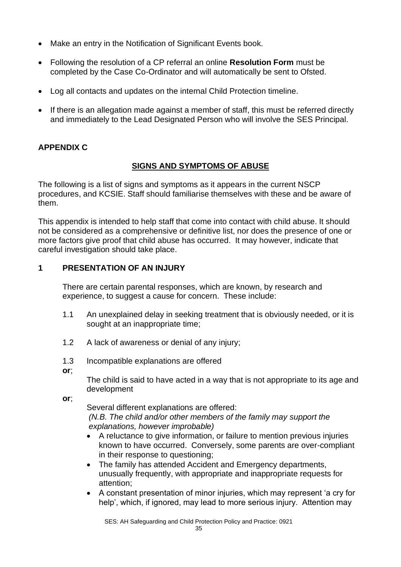- Make an entry in the Notification of Significant Events book.
- Following the resolution of a CP referral an online **Resolution Form** must be completed by the Case Co-Ordinator and will automatically be sent to Ofsted.
- Log all contacts and updates on the internal Child Protection timeline.
- If there is an allegation made against a member of staff, this must be referred directly and immediately to the Lead Designated Person who will involve the SES Principal.

# **APPENDIX C**

#### **SIGNS AND SYMPTOMS OF ABUSE**

The following is a list of signs and symptoms as it appears in the current NSCP procedures, and KCSIE. Staff should familiarise themselves with these and be aware of them.

This appendix is intended to help staff that come into contact with child abuse. It should not be considered as a comprehensive or definitive list, nor does the presence of one or more factors give proof that child abuse has occurred. It may however, indicate that careful investigation should take place.

#### **1 PRESENTATION OF AN INJURY**

There are certain parental responses, which are known, by research and experience, to suggest a cause for concern. These include:

- 1.1 An unexplained delay in seeking treatment that is obviously needed, or it is sought at an inappropriate time;
- 1.2 A lack of awareness or denial of any injury;
- 1.3 Incompatible explanations are offered
- **or**;

The child is said to have acted in a way that is not appropriate to its age and development

**or**;

Several different explanations are offered: *(N.B. The child and/or other members of the family may support the explanations, however improbable)*

- A reluctance to give information, or failure to mention previous injuries known to have occurred. Conversely, some parents are over-compliant in their response to questioning;
- The family has attended Accident and Emergency departments, unusually frequently, with appropriate and inappropriate requests for attention;
- A constant presentation of minor injuries, which may represent 'a cry for help', which, if ignored, may lead to more serious injury. Attention may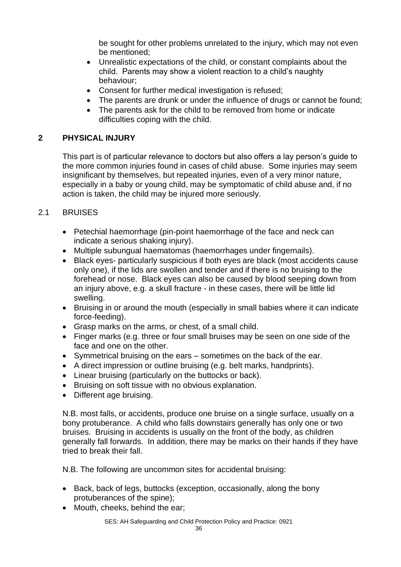be sought for other problems unrelated to the injury, which may not even be mentioned;

- Unrealistic expectations of the child, or constant complaints about the child. Parents may show a violent reaction to a child's naughty behaviour;
- Consent for further medical investigation is refused;
- The parents are drunk or under the influence of drugs or cannot be found;
- The parents ask for the child to be removed from home or indicate difficulties coping with the child.

# **2 PHYSICAL INJURY**

This part is of particular relevance to doctors but also offers a lay person's guide to the more common injuries found in cases of child abuse. Some injuries may seem insignificant by themselves, but repeated injuries, even of a very minor nature, especially in a baby or young child, may be symptomatic of child abuse and, if no action is taken, the child may be injured more seriously.

# 2.1 BRUISES

- Petechial haemorrhage (pin-point haemorrhage of the face and neck can indicate a serious shaking injury).
- Multiple subungual haematomas (haemorrhages under fingernails).
- Black eyes- particularly suspicious if both eyes are black (most accidents cause only one), if the lids are swollen and tender and if there is no bruising to the forehead or nose. Black eyes can also be caused by blood seeping down from an injury above, e.g. a skull fracture - in these cases, there will be little lid swelling.
- Bruising in or around the mouth (especially in small babies where it can indicate force-feeding).
- Grasp marks on the arms, or chest, of a small child.
- Finger marks (e.g. three or four small bruises may be seen on one side of the face and one on the other.
- Symmetrical bruising on the ears sometimes on the back of the ear.
- A direct impression or outline bruising (e.g. belt marks, handprints).
- Linear bruising (particularly on the buttocks or back).
- Bruising on soft tissue with no obvious explanation.
- Different age bruising.

N.B. most falls, or accidents, produce one bruise on a single surface, usually on a bony protuberance. A child who falls downstairs generally has only one or two bruises. Bruising in accidents is usually on the front of the body, as children generally fall forwards. In addition, there may be marks on their hands if they have tried to break their fall.

N.B. The following are uncommon sites for accidental bruising:

- Back, back of legs, buttocks (exception, occasionally, along the bony protuberances of the spine);
- Mouth, cheeks, behind the ear;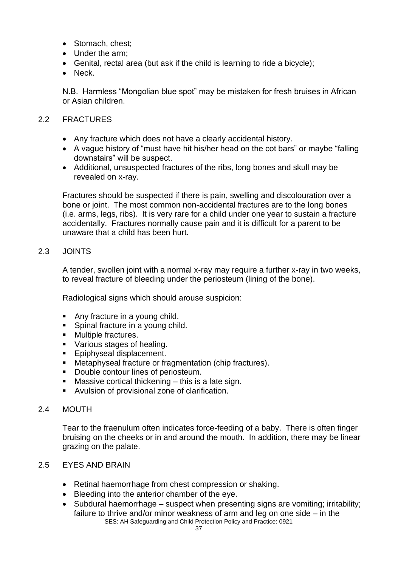- Stomach, chest;
- Under the arm;
- Genital, rectal area (but ask if the child is learning to ride a bicycle);
- Neck.

N.B. Harmless "Mongolian blue spot" may be mistaken for fresh bruises in African or Asian children.

# 2.2 FRACTURES

- Any fracture which does not have a clearly accidental history.
- A vague history of "must have hit his/her head on the cot bars" or maybe "falling" downstairs" will be suspect.
- Additional, unsuspected fractures of the ribs, long bones and skull may be revealed on x-ray.

Fractures should be suspected if there is pain, swelling and discolouration over a bone or joint. The most common non-accidental fractures are to the long bones (i.e. arms, legs, ribs). It is very rare for a child under one year to sustain a fracture accidentally. Fractures normally cause pain and it is difficult for a parent to be unaware that a child has been hurt.

# 2.3 JOINTS

A tender, swollen joint with a normal x-ray may require a further x-ray in two weeks, to reveal fracture of bleeding under the periosteum (lining of the bone).

Radiological signs which should arouse suspicion:

- Any fracture in a young child.
- Spinal fracture in a young child.
- Multiple fractures.
- Various stages of healing.
- Epiphyseal displacement.
- Metaphyseal fracture or fragmentation (chip fractures).
- Double contour lines of periosteum.
- Massive cortical thickening  $-$  this is a late sign.
- Avulsion of provisional zone of clarification.

#### 2.4 MOUTH

Tear to the fraenulum often indicates force-feeding of a baby. There is often finger bruising on the cheeks or in and around the mouth. In addition, there may be linear grazing on the palate.

# 2.5 EYES AND BRAIN

- Retinal haemorrhage from chest compression or shaking.
- Bleeding into the anterior chamber of the eye.
- SES: AH Safeguarding and Child Protection Policy and Practice: 0921 • Subdural haemorrhage – suspect when presenting signs are vomiting; irritability; failure to thrive and/or minor weakness of arm and leg on one side – in the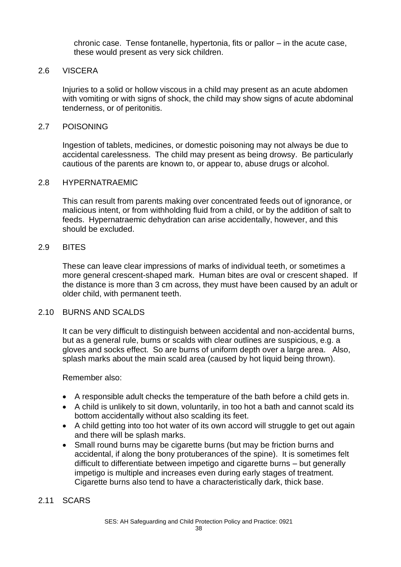chronic case. Tense fontanelle, hypertonia, fits or pallor – in the acute case, these would present as very sick children.

#### 2.6 VISCERA

Injuries to a solid or hollow viscous in a child may present as an acute abdomen with vomiting or with signs of shock, the child may show signs of acute abdominal tenderness, or of peritonitis.

#### 2.7 POISONING

Ingestion of tablets, medicines, or domestic poisoning may not always be due to accidental carelessness. The child may present as being drowsy. Be particularly cautious of the parents are known to, or appear to, abuse drugs or alcohol.

#### 2.8 HYPERNATRAEMIC

This can result from parents making over concentrated feeds out of ignorance, or malicious intent, or from withholding fluid from a child, or by the addition of salt to feeds. Hypernatraemic dehydration can arise accidentally, however, and this should be excluded.

#### 2.9 BITES

These can leave clear impressions of marks of individual teeth, or sometimes a more general crescent-shaped mark. Human bites are oval or crescent shaped. If the distance is more than 3 cm across, they must have been caused by an adult or older child, with permanent teeth.

#### 2.10 BURNS AND SCALDS

It can be very difficult to distinguish between accidental and non-accidental burns, but as a general rule, burns or scalds with clear outlines are suspicious, e.g. a gloves and socks effect. So are burns of uniform depth over a large area. Also, splash marks about the main scald area (caused by hot liquid being thrown).

#### Remember also:

- A responsible adult checks the temperature of the bath before a child gets in.
- A child is unlikely to sit down, voluntarily, in too hot a bath and cannot scald its bottom accidentally without also scalding its feet.
- A child getting into too hot water of its own accord will struggle to get out again and there will be splash marks.
- Small round burns may be cigarette burns (but may be friction burns and accidental, if along the bony protuberances of the spine). It is sometimes felt difficult to differentiate between impetigo and cigarette burns – but generally impetigo is multiple and increases even during early stages of treatment. Cigarette burns also tend to have a characteristically dark, thick base.

#### 2.11 SCARS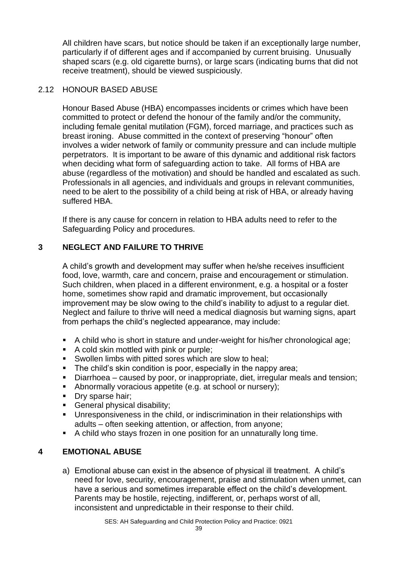All children have scars, but notice should be taken if an exceptionally large number, particularly if of different ages and if accompanied by current bruising. Unusually shaped scars (e.g. old cigarette burns), or large scars (indicating burns that did not receive treatment), should be viewed suspiciously.

#### 2.12 HONOUR BASED ABUSE

Honour Based Abuse (HBA) encompasses incidents or crimes which have been committed to protect or defend the honour of the family and/or the community, including female genital mutilation (FGM), forced marriage, and practices such as breast ironing. Abuse committed in the context of preserving "honour" often involves a wider network of family or community pressure and can include multiple perpetrators. It is important to be aware of this dynamic and additional risk factors when deciding what form of safeguarding action to take. All forms of HBA are abuse (regardless of the motivation) and should be handled and escalated as such. Professionals in all agencies, and individuals and groups in relevant communities, need to be alert to the possibility of a child being at risk of HBA, or already having suffered HBA.

If there is any cause for concern in relation to HBA adults need to refer to the Safeguarding Policy and procedures.

# **3 NEGLECT AND FAILURE TO THRIVE**

A child's growth and development may suffer when he/she receives insufficient food, love, warmth, care and concern, praise and encouragement or stimulation. Such children, when placed in a different environment, e.g. a hospital or a foster home, sometimes show rapid and dramatic improvement, but occasionally improvement may be slow owing to the child's inability to adjust to a regular diet. Neglect and failure to thrive will need a medical diagnosis but warning signs, apart from perhaps the child's neglected appearance, may include:

- A child who is short in stature and under-weight for his/her chronological age;
- A cold skin mottled with pink or purple;
- Swollen limbs with pitted sores which are slow to heal;
- The child's skin condition is poor, especially in the nappy area;
- Diarrhoea caused by poor, or inappropriate, diet, irregular meals and tension;
- Abnormally voracious appetite (e.g. at school or nursery):
- Dry sparse hair;
- **General physical disability;**
- Unresponsiveness in the child, or indiscrimination in their relationships with adults – often seeking attention, or affection, from anyone;
- A child who stays frozen in one position for an unnaturally long time.

# **4 EMOTIONAL ABUSE**

a) Emotional abuse can exist in the absence of physical ill treatment. A child's need for love, security, encouragement, praise and stimulation when unmet, can have a serious and sometimes irreparable effect on the child's development. Parents may be hostile, rejecting, indifferent, or, perhaps worst of all, inconsistent and unpredictable in their response to their child.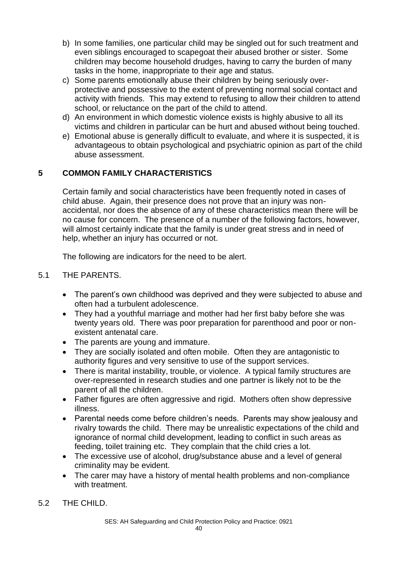- b) In some families, one particular child may be singled out for such treatment and even siblings encouraged to scapegoat their abused brother or sister. Some children may become household drudges, having to carry the burden of many tasks in the home, inappropriate to their age and status.
- c) Some parents emotionally abuse their children by being seriously overprotective and possessive to the extent of preventing normal social contact and activity with friends. This may extend to refusing to allow their children to attend school, or reluctance on the part of the child to attend.
- d) An environment in which domestic violence exists is highly abusive to all its victims and children in particular can be hurt and abused without being touched.
- e) Emotional abuse is generally difficult to evaluate, and where it is suspected, it is advantageous to obtain psychological and psychiatric opinion as part of the child abuse assessment.

# **5 COMMON FAMILY CHARACTERISTICS**

Certain family and social characteristics have been frequently noted in cases of child abuse. Again, their presence does not prove that an injury was nonaccidental, nor does the absence of any of these characteristics mean there will be no cause for concern. The presence of a number of the following factors, however, will almost certainly indicate that the family is under great stress and in need of help, whether an injury has occurred or not.

The following are indicators for the need to be alert.

# 5.1 THE PARENTS.

- The parent's own childhood was deprived and they were subjected to abuse and often had a turbulent adolescence.
- They had a youthful marriage and mother had her first baby before she was twenty years old. There was poor preparation for parenthood and poor or nonexistent antenatal care.
- The parents are young and immature.
- They are socially isolated and often mobile. Often they are antagonistic to authority figures and very sensitive to use of the support services.
- There is marital instability, trouble, or violence. A typical family structures are over-represented in research studies and one partner is likely not to be the parent of all the children.
- Father figures are often aggressive and rigid. Mothers often show depressive illness.
- Parental needs come before children's needs. Parents may show jealousy and rivalry towards the child. There may be unrealistic expectations of the child and ignorance of normal child development, leading to conflict in such areas as feeding, toilet training etc. They complain that the child cries a lot.
- The excessive use of alcohol, drug/substance abuse and a level of general criminality may be evident.
- The carer may have a history of mental health problems and non-compliance with treatment.
- 5.2 THE CHILD.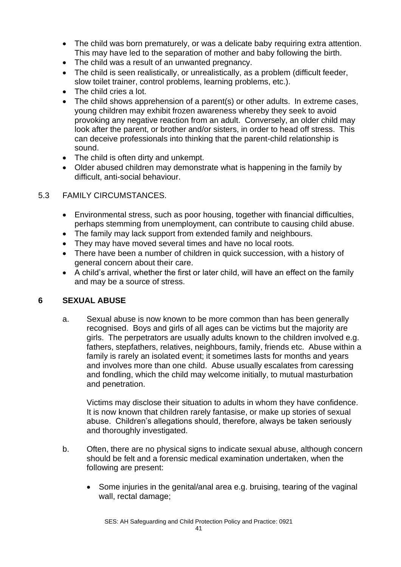- The child was born prematurely, or was a delicate baby requiring extra attention. This may have led to the separation of mother and baby following the birth.
- The child was a result of an unwanted pregnancy.
- The child is seen realistically, or unrealistically, as a problem (difficult feeder, slow toilet trainer, control problems, learning problems, etc.).
- The child cries a lot.
- The child shows apprehension of a parent(s) or other adults. In extreme cases, young children may exhibit frozen awareness whereby they seek to avoid provoking any negative reaction from an adult. Conversely, an older child may look after the parent, or brother and/or sisters, in order to head off stress. This can deceive professionals into thinking that the parent-child relationship is sound.
- The child is often dirty and unkempt.
- Older abused children may demonstrate what is happening in the family by difficult, anti-social behaviour.

# 5.3 FAMILY CIRCUMSTANCES.

- Environmental stress, such as poor housing, together with financial difficulties, perhaps stemming from unemployment, can contribute to causing child abuse.
- The family may lack support from extended family and neighbours.
- They may have moved several times and have no local roots.
- There have been a number of children in quick succession, with a history of general concern about their care.
- A child's arrival, whether the first or later child, will have an effect on the family and may be a source of stress.

# **6 SEXUAL ABUSE**

a. Sexual abuse is now known to be more common than has been generally recognised. Boys and girls of all ages can be victims but the majority are girls. The perpetrators are usually adults known to the children involved e.g. fathers, stepfathers, relatives, neighbours, family, friends etc. Abuse within a family is rarely an isolated event; it sometimes lasts for months and years and involves more than one child. Abuse usually escalates from caressing and fondling, which the child may welcome initially, to mutual masturbation and penetration.

Victims may disclose their situation to adults in whom they have confidence. It is now known that children rarely fantasise, or make up stories of sexual abuse. Children's allegations should, therefore, always be taken seriously and thoroughly investigated.

- b. Often, there are no physical signs to indicate sexual abuse, although concern should be felt and a forensic medical examination undertaken, when the following are present:
	- Some injuries in the genital/anal area e.g. bruising, tearing of the vaginal wall, rectal damage;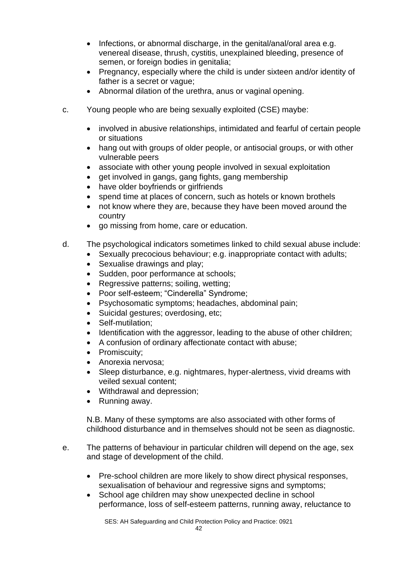- Infections, or abnormal discharge, in the genital/anal/oral area e.g. venereal disease, thrush, cystitis, unexplained bleeding, presence of semen, or foreign bodies in genitalia;
- Pregnancy, especially where the child is under sixteen and/or identity of father is a secret or vague;
- Abnormal dilation of the urethra, anus or vaginal opening.
- c. Young people who are being sexually exploited (CSE) maybe:
	- involved in abusive relationships, intimidated and fearful of certain people or situations
	- hang out with groups of older people, or antisocial groups, or with other vulnerable peers
	- associate with other young people involved in sexual exploitation
	- get involved in gangs, gang fights, gang membership
	- have older boyfriends or girlfriends
	- spend time at places of concern, such as hotels or known brothels
	- not know where they are, because they have been moved around the country
	- go missing from home, care or education.
- d. The psychological indicators sometimes linked to child sexual abuse include:
	- Sexually precocious behaviour; e.g. inappropriate contact with adults;
		- Sexualise drawings and play;
		- Sudden, poor performance at schools;
		- Regressive patterns; soiling, wetting;
		- Poor self-esteem; "Cinderella" Syndrome;
		- Psychosomatic symptoms; headaches, abdominal pain;
		- Suicidal gestures; overdosing, etc;
		- Self-mutilation;
		- Identification with the aggressor, leading to the abuse of other children;
		- A confusion of ordinary affectionate contact with abuse;
		- Promiscuity;
		- Anorexia nervosa;
		- Sleep disturbance, e.g. nightmares, hyper-alertness, vivid dreams with veiled sexual content;
		- Withdrawal and depression;
		- Running away.

N.B. Many of these symptoms are also associated with other forms of childhood disturbance and in themselves should not be seen as diagnostic.

- e. The patterns of behaviour in particular children will depend on the age, sex and stage of development of the child.
	- Pre-school children are more likely to show direct physical responses, sexualisation of behaviour and regressive signs and symptoms;
	- School age children may show unexpected decline in school performance, loss of self-esteem patterns, running away, reluctance to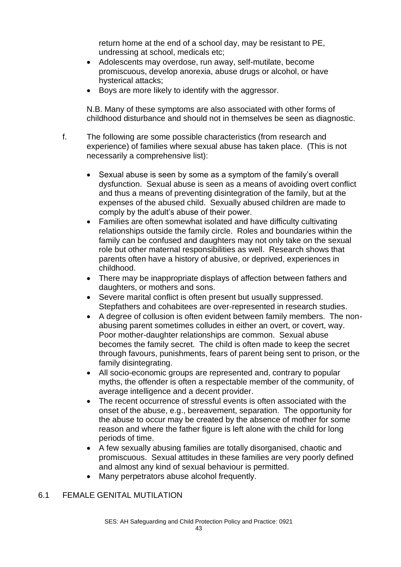return home at the end of a school day, may be resistant to PE, undressing at school, medicals etc;

- Adolescents may overdose, run away, self-mutilate, become promiscuous, develop anorexia, abuse drugs or alcohol, or have hysterical attacks;
- Boys are more likely to identify with the aggressor.

N.B. Many of these symptoms are also associated with other forms of childhood disturbance and should not in themselves be seen as diagnostic.

- f. The following are some possible characteristics (from research and experience) of families where sexual abuse has taken place. (This is not necessarily a comprehensive list):
	- Sexual abuse is seen by some as a symptom of the family's overall dysfunction. Sexual abuse is seen as a means of avoiding overt conflict and thus a means of preventing disintegration of the family, but at the expenses of the abused child. Sexually abused children are made to comply by the adult's abuse of their power.
	- Families are often somewhat isolated and have difficulty cultivating relationships outside the family circle. Roles and boundaries within the family can be confused and daughters may not only take on the sexual role but other maternal responsibilities as well. Research shows that parents often have a history of abusive, or deprived, experiences in childhood.
	- There may be inappropriate displays of affection between fathers and daughters, or mothers and sons.
	- Severe marital conflict is often present but usually suppressed. Stepfathers and cohabitees are over-represented in research studies.
	- A degree of collusion is often evident between family members. The nonabusing parent sometimes colludes in either an overt, or covert, way. Poor mother-daughter relationships are common. Sexual abuse becomes the family secret. The child is often made to keep the secret through favours, punishments, fears of parent being sent to prison, or the family disintegrating.
	- All socio-economic groups are represented and, contrary to popular myths, the offender is often a respectable member of the community, of average intelligence and a decent provider.
	- The recent occurrence of stressful events is often associated with the onset of the abuse, e.g., bereavement, separation. The opportunity for the abuse to occur may be created by the absence of mother for some reason and where the father figure is left alone with the child for long periods of time.
	- A few sexually abusing families are totally disorganised, chaotic and promiscuous. Sexual attitudes in these families are very poorly defined and almost any kind of sexual behaviour is permitted.
	- Many perpetrators abuse alcohol frequently.

#### 6.1 FEMALE GENITAL MUTILATION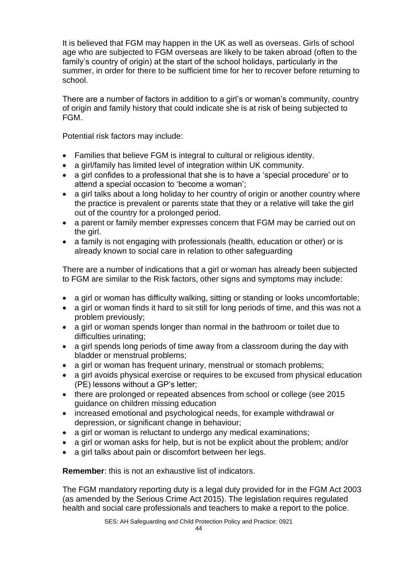It is believed that FGM may happen in the UK as well as overseas. Girls of school age who are subjected to FGM overseas are likely to be taken abroad (often to the family's country of origin) at the start of the school holidays, particularly in the summer, in order for there to be sufficient time for her to recover before returning to school.

There are a number of factors in addition to a girl's or woman's community, country of origin and family history that could indicate she is at risk of being subjected to FGM.

Potential risk factors may include:

- Families that believe FGM is integral to cultural or religious identity.
- a girl/family has limited level of integration within UK community.
- a girl confides to a professional that she is to have a 'special procedure' or to attend a special occasion to 'become a woman';
- a girl talks about a long holiday to her country of origin or another country where the practice is prevalent or parents state that they or a relative will take the girl out of the country for a prolonged period.
- a parent or family member expresses concern that FGM may be carried out on the girl.
- a family is not engaging with professionals (health, education or other) or is already known to social care in relation to other safeguarding

There are a number of indications that a girl or woman has already been subjected to FGM are similar to the Risk factors, other signs and symptoms may include:

- a girl or woman has difficulty walking, sitting or standing or looks uncomfortable;
- a girl or woman finds it hard to sit still for long periods of time, and this was not a problem previously;
- a girl or woman spends longer than normal in the bathroom or toilet due to difficulties urinating;
- a girl spends long periods of time away from a classroom during the day with bladder or menstrual problems;
- a girl or woman has frequent urinary, menstrual or stomach problems;
- a girl avoids physical exercise or requires to be excused from physical education (PE) lessons without a GP's letter;
- there are prolonged or repeated absences from school or college (see 2015) guidance on children missing education
- increased emotional and psychological needs, for example withdrawal or depression, or significant change in behaviour;
- a girl or woman is reluctant to undergo any medical examinations;
- a girl or woman asks for help, but is not be explicit about the problem; and/or
- a girl talks about pain or discomfort between her legs.

**Remember**: this is not an exhaustive list of indicators.

The FGM mandatory reporting duty is a legal duty provided for in the FGM Act 2003 (as amended by the Serious Crime Act 2015). The legislation requires regulated health and social care professionals and teachers to make a report to the police.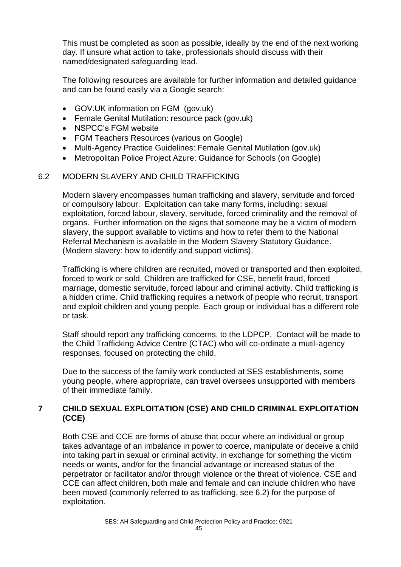This must be completed as soon as possible, ideally by the end of the next working day. If unsure what action to take, professionals should discuss with their named/designated safeguarding lead.

The following resources are available for further information and detailed guidance and can be found easily via a Google search:

- GOV.UK information on FGM (gov.uk)
- Female Genital Mutilation: resource pack (gov.uk)
- NSPCC's FGM website
- FGM Teachers Resources (various on Google)
- Multi-Agency Practice Guidelines: Female Genital Mutilation (gov.uk)
- Metropolitan Police Project Azure: Guidance for Schools (on Google)

#### 6.2 MODERN SLAVERY AND CHILD TRAFFICKING

Modern slavery encompasses human trafficking and slavery, servitude and forced or compulsory labour. Exploitation can take many forms, including: sexual exploitation, forced labour, slavery, servitude, forced criminality and the removal of organs. Further information on the signs that someone may be a victim of modern slavery, the support available to victims and how to refer them to the National Referral Mechanism is available in the Modern Slavery Statutory Guidance. (Modern slavery: how to identify and support victims).

Trafficking is where children are recruited, moved or transported and then exploited, forced to work or sold. Children are trafficked for CSE, benefit fraud, forced marriage, domestic servitude, forced labour and criminal activity. Child trafficking is a hidden crime. Child trafficking requires a network of people who recruit, transport and exploit children and young people. Each group or individual has a different role or task.

Staff should report any trafficking concerns, to the LDPCP. Contact will be made to the Child Trafficking Advice Centre (CTAC) who will co-ordinate a mutil-agency responses, focused on protecting the child.

Due to the success of the family work conducted at SES establishments, some young people, where appropriate, can travel oversees unsupported with members of their immediate family.

#### **7 CHILD SEXUAL EXPLOITATION (CSE) AND CHILD CRIMINAL EXPLOITATION (CCE)**

Both CSE and CCE are forms of abuse that occur where an individual or group takes advantage of an imbalance in power to coerce, manipulate or deceive a child into taking part in sexual or criminal activity, in exchange for something the victim needs or wants, and/or for the financial advantage or increased status of the perpetrator or facilitator and/or through violence or the threat of violence. CSE and CCE can affect children, both male and female and can include children who have been moved (commonly referred to as trafficking, see 6.2) for the purpose of exploitation.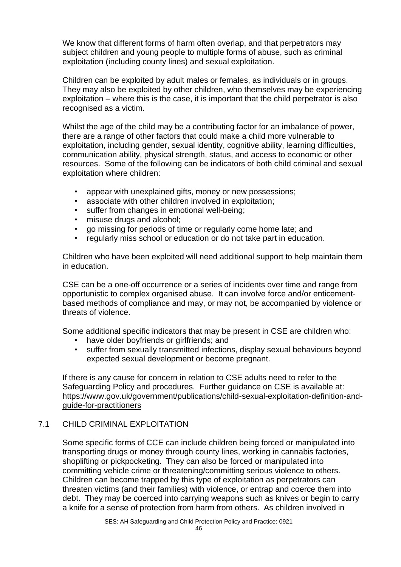We know that different forms of harm often overlap, and that perpetrators may subject children and young people to multiple forms of abuse, such as criminal exploitation (including county lines) and sexual exploitation.

Children can be exploited by adult males or females, as individuals or in groups. They may also be exploited by other children, who themselves may be experiencing exploitation – where this is the case, it is important that the child perpetrator is also recognised as a victim.

Whilst the age of the child may be a contributing factor for an imbalance of power, there are a range of other factors that could make a child more vulnerable to exploitation, including gender, sexual identity, cognitive ability, learning difficulties, communication ability, physical strength, status, and access to economic or other resources. Some of the following can be indicators of both child criminal and sexual exploitation where children:

- appear with unexplained gifts, money or new possessions;
- associate with other children involved in exploitation;
- suffer from changes in emotional well-being;
- misuse drugs and alcohol;
- go missing for periods of time or regularly come home late; and
- regularly miss school or education or do not take part in education.

Children who have been exploited will need additional support to help maintain them in education.

CSE can be a one-off occurrence or a series of incidents over time and range from opportunistic to complex organised abuse. It can involve force and/or enticementbased methods of compliance and may, or may not, be accompanied by violence or threats of violence.

Some additional specific indicators that may be present in CSE are children who:

- have older boyfriends or girlfriends; and
- suffer from sexually transmitted infections, display sexual behaviours beyond expected sexual development or become pregnant.

If there is any cause for concern in relation to CSE adults need to refer to the Safeguarding Policy and procedures. Further guidance on CSE is available at: [https://www.gov.uk/government/publications/child-sexual-exploitation-definition-and](https://www.gov.uk/government/publications/child-sexual-exploitation-definition-and-guide-for-practitioners)[guide-for-practitioners](https://www.gov.uk/government/publications/child-sexual-exploitation-definition-and-guide-for-practitioners)

# 7.1 CHILD CRIMINAL EXPLOITATION

Some specific forms of CCE can include children being forced or manipulated into transporting drugs or money through county lines, working in cannabis factories, shoplifting or pickpocketing. They can also be forced or manipulated into committing vehicle crime or threatening/committing serious violence to others. Children can become trapped by this type of exploitation as perpetrators can threaten victims (and their families) with violence, or entrap and coerce them into debt. They may be coerced into carrying weapons such as knives or begin to carry a knife for a sense of protection from harm from others. As children involved in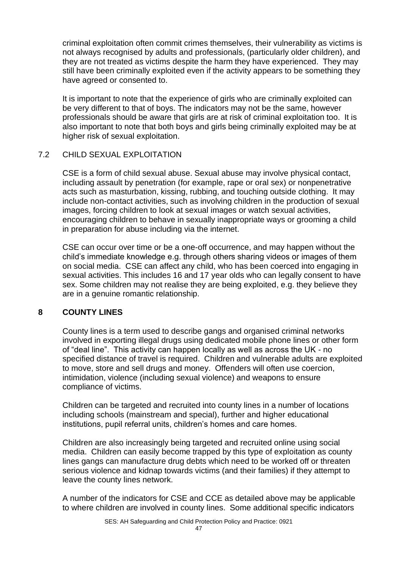criminal exploitation often commit crimes themselves, their vulnerability as victims is not always recognised by adults and professionals, (particularly older children), and they are not treated as victims despite the harm they have experienced. They may still have been criminally exploited even if the activity appears to be something they have agreed or consented to.

It is important to note that the experience of girls who are criminally exploited can be very different to that of boys. The indicators may not be the same, however professionals should be aware that girls are at risk of criminal exploitation too. It is also important to note that both boys and girls being criminally exploited may be at higher risk of sexual exploitation.

#### 7.2 CHILD SEXUAL EXPLOITATION

CSE is a form of child sexual abuse. Sexual abuse may involve physical contact, including assault by penetration (for example, rape or oral sex) or nonpenetrative acts such as masturbation, kissing, rubbing, and touching outside clothing. It may include non-contact activities, such as involving children in the production of sexual images, forcing children to look at sexual images or watch sexual activities, encouraging children to behave in sexually inappropriate ways or grooming a child in preparation for abuse including via the internet.

CSE can occur over time or be a one-off occurrence, and may happen without the child's immediate knowledge e.g. through others sharing videos or images of them on social media. CSE can affect any child, who has been coerced into engaging in sexual activities. This includes 16 and 17 year olds who can legally consent to have sex. Some children may not realise they are being exploited, e.g. they believe they are in a genuine romantic relationship.

# **8 COUNTY LINES**

County lines is a term used to describe gangs and organised criminal networks involved in exporting illegal drugs using dedicated mobile phone lines or other form of "deal line". This activity can happen locally as well as across the UK - no specified distance of travel is required. Children and vulnerable adults are exploited to move, store and sell drugs and money. Offenders will often use coercion, intimidation, violence (including sexual violence) and weapons to ensure compliance of victims.

Children can be targeted and recruited into county lines in a number of locations including schools (mainstream and special), further and higher educational institutions, pupil referral units, children's homes and care homes.

Children are also increasingly being targeted and recruited online using social media. Children can easily become trapped by this type of exploitation as county lines gangs can manufacture drug debts which need to be worked off or threaten serious violence and kidnap towards victims (and their families) if they attempt to leave the county lines network.

A number of the indicators for CSE and CCE as detailed above may be applicable to where children are involved in county lines. Some additional specific indicators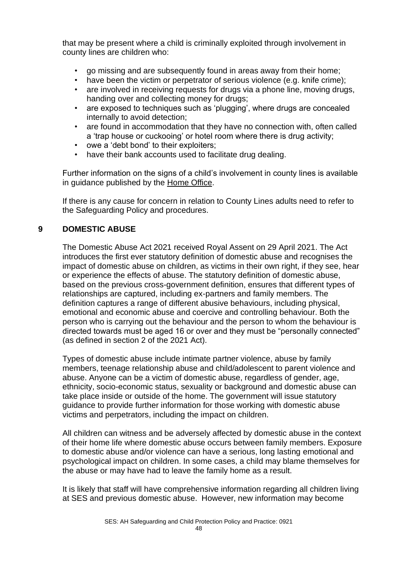that may be present where a child is criminally exploited through involvement in county lines are children who:

- go missing and are subsequently found in areas away from their home;
- have been the victim or perpetrator of serious violence (e.g. knife crime);
- are involved in receiving requests for drugs via a phone line, moving drugs, handing over and collecting money for drugs;
- are exposed to techniques such as 'plugging', where drugs are concealed internally to avoid detection;
- are found in accommodation that they have no connection with, often called a 'trap house or cuckooing' or hotel room where there is drug activity;
- owe a 'debt bond' to their exploiters;
- have their bank accounts used to facilitate drug dealing.

Further information on the signs of a child's involvement in county lines is available in guidance published by the [Home Office.](https://assets.publishing.service.gov.uk/government/uploads/system/uploads/attachment_data/file/863323/HOCountyLinesGuidance_-_Sept2018.pdf)

If there is any cause for concern in relation to County Lines adults need to refer to the Safeguarding Policy and procedures.

# **9 DOMESTIC ABUSE**

The Domestic Abuse Act 2021 received Royal Assent on 29 April 2021. The Act introduces the first ever statutory definition of domestic abuse and recognises the impact of domestic abuse on children, as victims in their own right, if they see, hear or experience the effects of abuse. The statutory definition of domestic abuse, based on the previous cross-government definition, ensures that different types of relationships are captured, including ex-partners and family members. The definition captures a range of different abusive behaviours, including physical, emotional and economic abuse and coercive and controlling behaviour. Both the person who is carrying out the behaviour and the person to whom the behaviour is directed towards must be aged 16 or over and they must be "personally connected" (as defined in section 2 of the 2021 Act).

Types of domestic abuse include intimate partner violence, abuse by family members, teenage relationship abuse and child/adolescent to parent violence and abuse. Anyone can be a victim of domestic abuse, regardless of gender, age, ethnicity, socio-economic status, sexuality or background and domestic abuse can take place inside or outside of the home. The government will issue statutory guidance to provide further information for those working with domestic abuse victims and perpetrators, including the impact on children.

All children can witness and be adversely affected by domestic abuse in the context of their home life where domestic abuse occurs between family members. Exposure to domestic abuse and/or violence can have a serious, long lasting emotional and psychological impact on children. In some cases, a child may blame themselves for the abuse or may have had to leave the family home as a result.

It is likely that staff will have comprehensive information regarding all children living at SES and previous domestic abuse. However, new information may become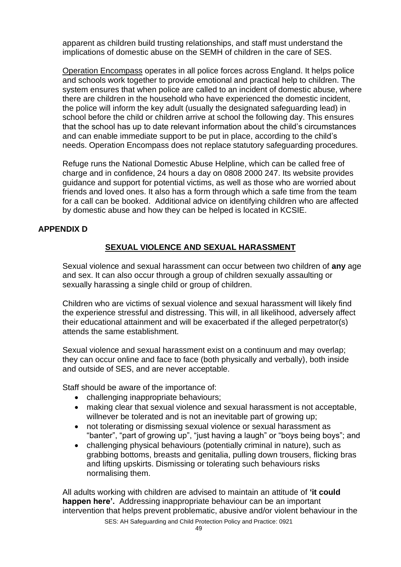apparent as children build trusting relationships, and staff must understand the implications of domestic abuse on the SEMH of children in the care of SES.

[Operation Encompass](https://www.operationencompass.org/) operates in all police forces across England. It helps police and schools work together to provide emotional and practical help to children. The system ensures that when police are called to an incident of domestic abuse, where there are children in the household who have experienced the domestic incident, the police will inform the key adult (usually the designated safeguarding lead) in school before the child or children arrive at school the following day. This ensures that the school has up to date relevant information about the child's circumstances and can enable immediate support to be put in place, according to the child's needs. Operation Encompass does not replace statutory safeguarding procedures.

Refuge runs the National Domestic Abuse Helpline, which can be called free of charge and in confidence, 24 hours a day on 0808 2000 247. Its website provides guidance and support for potential victims, as well as those who are worried about friends and loved ones. It also has a form through which a safe time from the team for a call can be booked. Additional advice on identifying children who are affected by domestic abuse and how they can be helped is located in KCSIE.

#### **APPENDIX D**

# **SEXUAL VIOLENCE AND SEXUAL HARASSMENT**

Sexual violence and sexual harassment can occur between two children of **any** age and sex. It can also occur through a group of children sexually assaulting or sexually harassing a single child or group of children.

Children who are victims of sexual violence and sexual harassment will likely find the experience stressful and distressing. This will, in all likelihood, adversely affect their educational attainment and will be exacerbated if the alleged perpetrator(s) attends the same establishment.

Sexual violence and sexual harassment exist on a continuum and may overlap; they can occur online and face to face (both physically and verbally), both inside and outside of SES, and are never acceptable.

Staff should be aware of the importance of:

- challenging inappropriate behaviours:
- making clear that sexual violence and sexual harassment is not acceptable, willnever be tolerated and is not an inevitable part of growing up:
- not tolerating or dismissing sexual violence or sexual harassment as "banter", "part of growing up", "just having a laugh" or "boys being boys"; and
- challenging physical behaviours (potentially criminal in nature), such as grabbing bottoms, breasts and genitalia, pulling down trousers, flicking bras and lifting upskirts. Dismissing or tolerating such behaviours risks normalising them.

All adults working with children are advised to maintain an attitude of **'it could happen here'.** Addressing inappropriate behaviour can be an important intervention that helps prevent problematic, abusive and/or violent behaviour in the

SES: AH Safeguarding and Child Protection Policy and Practice: 0921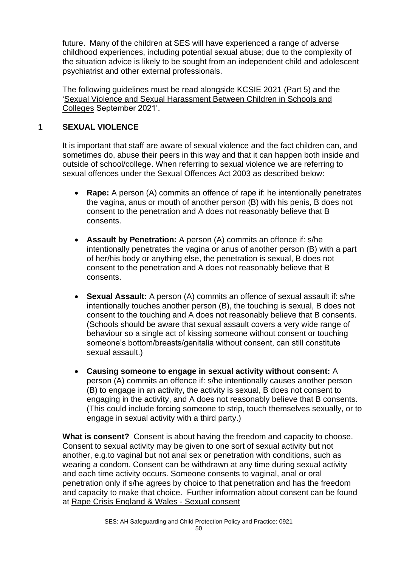future. Many of the children at SES will have experienced a range of adverse childhood experiences, including potential sexual abuse; due to the complexity of the situation advice is likely to be sought from an independent child and adolescent psychiatrist and other external professionals.

The following guidelines must be read alongside KCSIE 2021 (Part 5) and the ['Sexual Violence and Sexual Harassment Between Children in Schools and](https://assets.publishing.service.gov.uk/government/uploads/system/uploads/attachment_data/file/999239/SVSH_2021.pdf)  [Colleges](https://assets.publishing.service.gov.uk/government/uploads/system/uploads/attachment_data/file/999239/SVSH_2021.pdf) September 2021'.

# **1 SEXUAL VIOLENCE**

It is important that staff are aware of sexual violence and the fact children can, and sometimes do, abuse their peers in this way and that it can happen both inside and outside of school/college. When referring to sexual violence we are referring to sexual offences under the Sexual Offences Act 2003 as described below:

- **Rape:** A person (A) commits an offence of rape if: he intentionally penetrates the vagina, anus or mouth of another person (B) with his penis, B does not consent to the penetration and A does not reasonably believe that B consents.
- **Assault by Penetration:** A person (A) commits an offence if: s/he intentionally penetrates the vagina or anus of another person (B) with a part of her/his body or anything else, the penetration is sexual, B does not consent to the penetration and A does not reasonably believe that B consents.
- **Sexual Assault:** A person (A) commits an offence of sexual assault if: s/he intentionally touches another person (B), the touching is sexual, B does not consent to the touching and A does not reasonably believe that B consents. (Schools should be aware that sexual assault covers a very wide range of behaviour so a single act of kissing someone without consent or touching someone's bottom/breasts/genitalia without consent, can still constitute sexual assault.)
- **Causing someone to engage in sexual activity without consent:** A person (A) commits an offence if: s/he intentionally causes another person (B) to engage in an activity, the activity is sexual, B does not consent to engaging in the activity, and A does not reasonably believe that B consents. (This could include forcing someone to strip, touch themselves sexually, or to engage in sexual activity with a third party.)

**What is consent?** Consent is about having the freedom and capacity to choose. Consent to sexual activity may be given to one sort of sexual activity but not another, e.g.to vaginal but not anal sex or penetration with conditions, such as wearing a condom. Consent can be withdrawn at any time during sexual activity and each time activity occurs. Someone consents to vaginal, anal or oral penetration only if s/he agrees by choice to that penetration and has the freedom and capacity to make that choice. Further information about consent can be found at [Rape Crisis England & Wales -](https://rapecrisis.org.uk/get-informed/about-sexual-violence/sexual-consent/) Sexual consent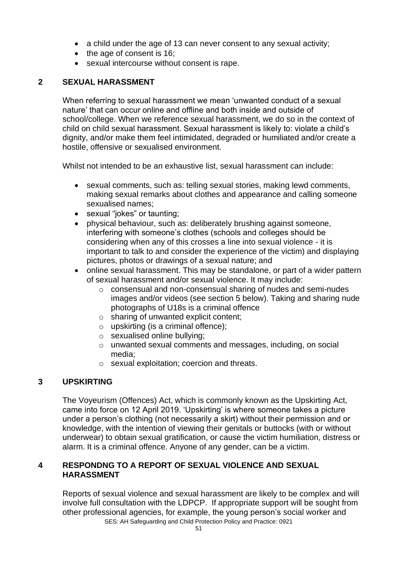- a child under the age of 13 can never consent to any sexual activity;
- the age of consent is 16;
- sexual intercourse without consent is rape.

#### **2 SEXUAL HARASSMENT**

When referring to sexual harassment we mean 'unwanted conduct of a sexual nature' that can occur online and offline and both inside and outside of school/college. When we reference sexual harassment, we do so in the context of child on child sexual harassment. Sexual harassment is likely to: violate a child's dignity, and/or make them feel intimidated, degraded or humiliated and/or create a hostile, offensive or sexualised environment.

Whilst not intended to be an exhaustive list, sexual harassment can include:

- sexual comments, such as: telling sexual stories, making lewd comments, making sexual remarks about clothes and appearance and calling someone sexualised names;
- sexual "jokes" or taunting:
- physical behaviour, such as: deliberately brushing against someone, interfering with someone's clothes (schools and colleges should be considering when any of this crosses a line into sexual violence - it is important to talk to and consider the experience of the victim) and displaying pictures, photos or drawings of a sexual nature; and
- online sexual harassment. This may be standalone, or part of a wider pattern of sexual harassment and/or sexual violence. It may include:
	- o consensual and non-consensual sharing of nudes and semi-nudes images and/or videos (see section 5 below). Taking and sharing nude photographs of U18s is a criminal offence
	- o sharing of unwanted explicit content;
	- $\circ$  upskirting (is a criminal offence);
	- o sexualised online bullying;
	- o unwanted sexual comments and messages, including, on social media;
	- o sexual exploitation; coercion and threats.

# **3 UPSKIRTING**

The Voyeurism (Offences) Act, which is commonly known as the Upskirting Act, came into force on 12 April 2019. 'Upskirting' is where someone takes a picture under a person's clothing (not necessarily a skirt) without their permission and or knowledge, with the intention of viewing their genitals or buttocks (with or without underwear) to obtain sexual gratification, or cause the victim humiliation, distress or alarm. It is a criminal offence. Anyone of any gender, can be a victim.

#### **4 RESPONDNG TO A REPORT OF SEXUAL VIOLENCE AND SEXUAL HARASSMENT**

SES: AH Safeguarding and Child Protection Policy and Practice: 0921 Reports of sexual violence and sexual harassment are likely to be complex and will involve full consultation with the LDPCP. If appropriate support will be sought from other professional agencies, for example, the young person's social worker and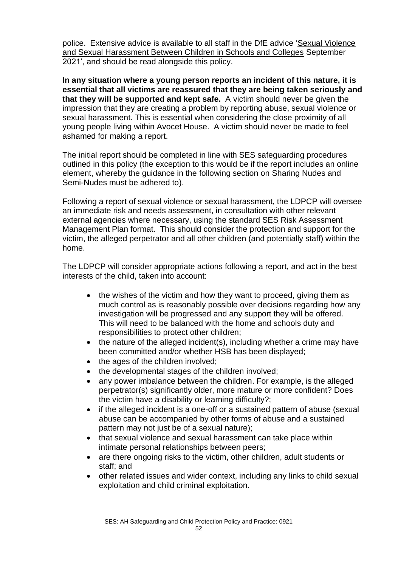police. Extensive advice is available to all staff in the DfE advice ['Sexual Violence](https://assets.publishing.service.gov.uk/government/uploads/system/uploads/attachment_data/file/999239/SVSH_2021.pdf)  [and Sexual Harassment Between Children in Schools and Colleges](https://assets.publishing.service.gov.uk/government/uploads/system/uploads/attachment_data/file/999239/SVSH_2021.pdf) September 2021', and should be read alongside this policy.

**In any situation where a young person reports an incident of this nature, it is essential that all victims are reassured that they are being taken seriously and that they will be supported and kept safe.** A victim should never be given the impression that they are creating a problem by reporting abuse, sexual violence or sexual harassment. This is essential when considering the close proximity of all young people living within Avocet House. A victim should never be made to feel ashamed for making a report.

The initial report should be completed in line with SES safeguarding procedures outlined in this policy (the exception to this would be if the report includes an online element, whereby the guidance in the following section on Sharing Nudes and Semi-Nudes must be adhered to).

Following a report of sexual violence or sexual harassment, the LDPCP will oversee an immediate risk and needs assessment, in consultation with other relevant external agencies where necessary, using the standard SES Risk Assessment Management Plan format. This should consider the protection and support for the victim, the alleged perpetrator and all other children (and potentially staff) within the home.

The LDPCP will consider appropriate actions following a report, and act in the best interests of the child, taken into account:

- the wishes of the victim and how they want to proceed, giving them as much control as is reasonably possible over decisions regarding how any investigation will be progressed and any support they will be offered. This will need to be balanced with the home and schools duty and responsibilities to protect other children;
- the nature of the alleged incident(s), including whether a crime may have been committed and/or whether HSB has been displayed;
- the ages of the children involved;
- the developmental stages of the children involved;
- any power imbalance between the children. For example, is the alleged perpetrator(s) significantly older, more mature or more confident? Does the victim have a disability or learning difficulty?;
- if the alleged incident is a one-off or a sustained pattern of abuse (sexual abuse can be accompanied by other forms of abuse and a sustained pattern may not just be of a sexual nature);
- that sexual violence and sexual harassment can take place within intimate personal relationships between peers;
- are there ongoing risks to the victim, other children, adult students or staff; and
- other related issues and wider context, including any links to child sexual exploitation and child criminal exploitation.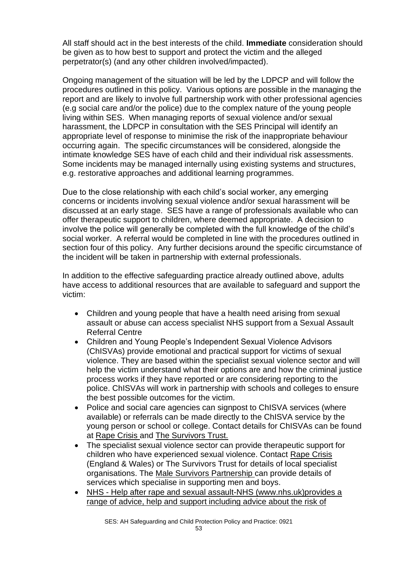All staff should act in the best interests of the child. **Immediate** consideration should be given as to how best to support and protect the victim and the alleged perpetrator(s) (and any other children involved/impacted).

Ongoing management of the situation will be led by the LDPCP and will follow the procedures outlined in this policy. Various options are possible in the managing the report and are likely to involve full partnership work with other professional agencies (e.g social care and/or the police) due to the complex nature of the young people living within SES. When managing reports of sexual violence and/or sexual harassment, the LDPCP in consultation with the SES Principal will identify an appropriate level of response to minimise the risk of the inappropriate behaviour occurring again. The specific circumstances will be considered, alongside the intimate knowledge SES have of each child and their individual risk assessments. Some incidents may be managed internally using existing systems and structures, e.g. restorative approaches and additional learning programmes.

Due to the close relationship with each child's social worker, any emerging concerns or incidents involving sexual violence and/or sexual harassment will be discussed at an early stage. SES have a range of professionals available who can offer therapeutic support to children, where deemed appropriate. A decision to involve the police will generally be completed with the full knowledge of the child's social worker. A referral would be completed in line with the procedures outlined in section four of this policy. Any further decisions around the specific circumstance of the incident will be taken in partnership with external professionals.

In addition to the effective safeguarding practice already outlined above, adults have access to additional resources that are available to safeguard and support the victim:

- Children and young people that have a health need arising from sexual assault or abuse can access specialist NHS support from a Sexual Assault Referral Centre
- Children and Young People's Independent Sexual Violence Advisors (ChISVAs) provide emotional and practical support for victims of sexual violence. They are based within the specialist sexual violence sector and will help the victim understand what their options are and how the criminal justice process works if they have reported or are considering reporting to the police. ChISVAs will work in partnership with schools and colleges to ensure the best possible outcomes for the victim.
- Police and social care agencies can signpost to ChISVA services (where available) or referrals can be made directly to the ChISVA service by the young person or school or college. Contact details for ChISVAs can be found at [Rape Crisis](https://rapecrisis.org.uk/) and [The Survivors Trust.](https://www.thesurvivorstrust.org/)
- The specialist sexual violence sector can provide therapeutic support for children who have experienced sexual violence. Contact Rape Crisis (England & Wales) or The Survivors Trust for details of local specialist organisations. The [Male Survivors Partnership](https://malesurvivor.co.uk/support-for-male-survivors/directory-of-services/) can provide details of services which specialise in supporting men and boys.
- NHS [Help after rape and sexual assault-NHS \(www.nhs.uk\)provides a](https://www.nhs.uk/live-well/sexual-health/help-after-rape-and-sexual-assault/)  [range of advice, help and support including advice about the risk of](https://www.nhs.uk/live-well/sexual-health/help-after-rape-and-sexual-assault/)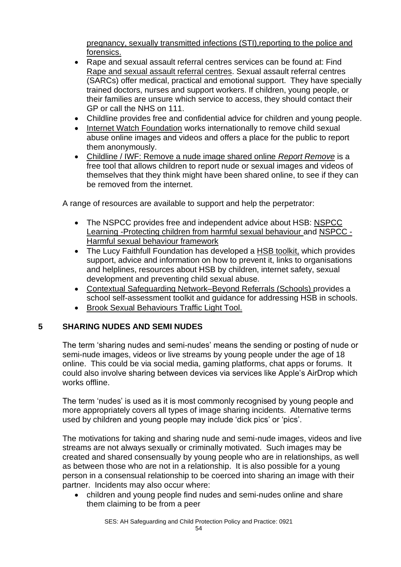[pregnancy, sexually transmitted infections \(STI\),reporting to the police and](https://www.nhs.uk/live-well/sexual-health/help-after-rape-and-sexual-assault/)  [forensics.](https://www.nhs.uk/live-well/sexual-health/help-after-rape-and-sexual-assault/)

- Rape and sexual assault referral centres services can be found at: Find [Rape and sexual assault referral centres.](https://www.nhs.uk/service-search/other-services/Rape-and-sexual-assault-referral-centres/LocationSearch/364) Sexual assault referral centres (SARCs) offer medical, practical and emotional support. They have specially trained doctors, nurses and support workers. If children, young people, or their families are unsure which service to access, they should contact their GP or call the NHS on 111.
- Childline provides free and confidential advice for children and young people.
- [Internet Watch Foundation](https://www.iwf.org.uk/) works internationally to remove child sexual abuse online images and videos and offers a place for the public to report them anonymously.
- [Childline / IWF: Remove a nude image shared online](https://www.childline.org.uk/info-advice/bullying-abuse-safety/online-mobile-safety/remove-nude-image-shared-online/) *Report Remove* is a free tool that allows children to report nude or sexual images and videos of themselves that they think might have been shared online, to see if they can be removed from the internet.

A range of resources are available to support and help the perpetrator:

- The NSPCC provides free and independent advice about HSB: [NSPCC](https://learning.nspcc.org.uk/child-abuse-and-neglect/harmful-sexual-behaviour)  [Learning -Protecting children from harmful sexual behaviour](https://learning.nspcc.org.uk/child-abuse-and-neglect/harmful-sexual-behaviour) and [NSPCC -](https://learning.nspcc.org.uk/research-resources/2019/harmful-sexual-behaviour-framework) [Harmful sexual behaviour framework](https://learning.nspcc.org.uk/research-resources/2019/harmful-sexual-behaviour-framework)
- The Lucy Faithfull Foundation has developed a [HSB toolkit,](https://www.stopitnow.org.uk/concerned-about-a-child-or-young-persons-sexual-behaviour/preventing-harmful-sexual-behaviour/?utm_campaign=1540968_HSB%20Toolkit%20email_SOCIAL%20MEDIA&utm_medium=email&utm_source=Lucy%20Faithfull%20Foundation&dm_i=48W7,X10O,38NO7C,43A9L,1) which provides support, advice and information on how to prevent it, links to organisations and helplines, resources about HSB by children, internet safety, sexual development and preventing child sexual abuse.
- [Contextual Safeguarding Network–Beyond Referrals](https://www.csnetwork.org.uk/en/beyond-referrals-levers-for-addressing-harmful-sexual-behaviour-in-schools) (Schools) provides a school self-assessment toolkit and guidance for addressing HSB in schools.
- [Brook Sexual Behaviours Traffic Light Tool.](https://www.brook.org.uk/training/wider-professional-training/sexual-behaviours-traffic-light-tool/)

# **5 SHARING NUDES AND SEMI NUDES**

The term 'sharing nudes and semi-nudes' means the sending or posting of nude or semi-nude images, videos or live streams by young people under the age of 18 online. This could be via social media, gaming platforms, chat apps or forums. It could also involve sharing between devices via services like Apple's AirDrop which works offline.

The term 'nudes' is used as it is most commonly recognised by young people and more appropriately covers all types of image sharing incidents. Alternative terms used by children and young people may include 'dick pics' or 'pics'.

The motivations for taking and sharing nude and semi-nude images, videos and live streams are not always sexually or criminally motivated. Such images may be created and shared consensually by young people who are in relationships, as well as between those who are not in a relationship. It is also possible for a young person in a consensual relationship to be coerced into sharing an image with their partner. Incidents may also occur where:

• children and young people find nudes and semi-nudes online and share them claiming to be from a peer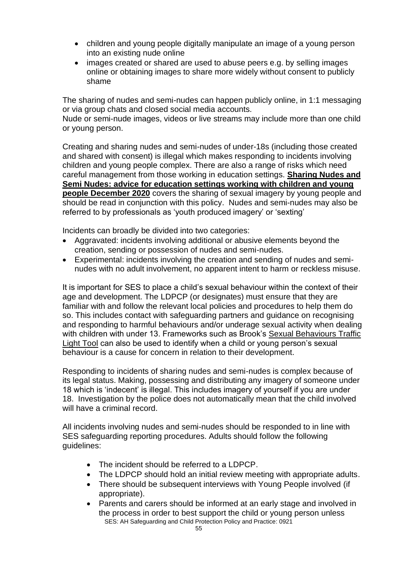- children and young people digitally manipulate an image of a young person into an existing nude online
- images created or shared are used to abuse peers e.g. by selling images online or obtaining images to share more widely without consent to publicly shame

The sharing of nudes and semi-nudes can happen publicly online, in 1:1 messaging or via group chats and closed social media accounts.

Nude or semi-nude images, videos or live streams may include more than one child or young person.

Creating and sharing nudes and semi-nudes of under-18s (including those created and shared with consent) is illegal which makes responding to incidents involving children and young people complex. There are also a range of risks which need careful management from those working in education settings. **[Sharing Nudes and](https://www.gov.uk/government/publications/sharing-nudes-and-semi-nudes-advice-for-education-settings-working-with-children-and-young-people/sharing-nudes-and-semi-nudes-advice-for-education-settings-working-with-children-and-young-people)  [Semi Nudes: advice for education settings working with children and young](https://www.gov.uk/government/publications/sharing-nudes-and-semi-nudes-advice-for-education-settings-working-with-children-and-young-people/sharing-nudes-and-semi-nudes-advice-for-education-settings-working-with-children-and-young-people)  [people December 2020](https://www.gov.uk/government/publications/sharing-nudes-and-semi-nudes-advice-for-education-settings-working-with-children-and-young-people/sharing-nudes-and-semi-nudes-advice-for-education-settings-working-with-children-and-young-people)** covers the sharing of sexual imagery by young people and should be read in conjunction with this policy. Nudes and semi-nudes may also be referred to by professionals as 'youth produced imagery' or 'sexting'

Incidents can broadly be divided into two categories:

- Aggravated: incidents involving additional or abusive elements beyond the creation, sending or possession of nudes and semi-nudes.
- Experimental: incidents involving the creation and sending of nudes and seminudes with no adult involvement, no apparent intent to harm or reckless misuse.

It is important for SES to place a child's sexual behaviour within the context of their age and development. The LDPCP (or designates) must ensure that they are familiar with and follow the relevant local policies and procedures to help them do so. This includes contact with safeguarding partners and guidance on recognising and responding to harmful behaviours and/or underage sexual activity when dealing with children with under 13. Frameworks such as Brook's [Sexual Behaviours Traffic](https://www.brook.org.uk/training/wider-professional-training/sexual-behaviours-traffic-light-tool/)  [Light Tool](https://www.brook.org.uk/training/wider-professional-training/sexual-behaviours-traffic-light-tool/) can also be used to identify when a child or young person's sexual behaviour is a cause for concern in relation to their development.

Responding to incidents of sharing nudes and semi-nudes is complex because of its legal status. Making, possessing and distributing any imagery of someone under 18 which is 'indecent' is illegal. This includes imagery of yourself if you are under 18. Investigation by the police does not automatically mean that the child involved will have a criminal record.

All incidents involving nudes and semi-nudes should be responded to in line with SES safeguarding reporting procedures. Adults should follow the following guidelines:

- The incident should be referred to a LDPCP.
- The LDPCP should hold an initial review meeting with appropriate adults.
- There should be subsequent interviews with Young People involved (if appropriate).
- SES: AH Safeguarding and Child Protection Policy and Practice: 0921 • Parents and carers should be informed at an early stage and involved in the process in order to best support the child or young person unless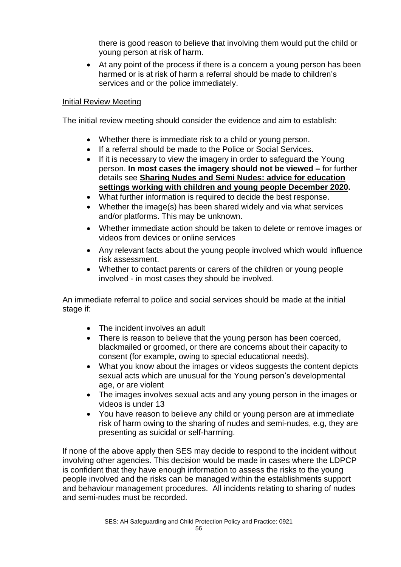there is good reason to believe that involving them would put the child or young person at risk of harm.

• At any point of the process if there is a concern a young person has been harmed or is at risk of harm a referral should be made to children's services and or the police immediately.

#### Initial Review Meeting

The initial review meeting should consider the evidence and aim to establish:

- Whether there is immediate risk to a child or young person.
- If a referral should be made to the Police or Social Services.
- If it is necessary to view the imagery in order to safeguard the Young person. **In most cases the imagery should not be viewed –** for further details see **[Sharing Nudes and Semi Nudes: advice for education](https://www.gov.uk/government/publications/sharing-nudes-and-semi-nudes-advice-for-education-settings-working-with-children-and-young-people/sharing-nudes-and-semi-nudes-advice-for-education-settings-working-with-children-and-young-people)  [settings working with children and young people December 2020.](https://www.gov.uk/government/publications/sharing-nudes-and-semi-nudes-advice-for-education-settings-working-with-children-and-young-people/sharing-nudes-and-semi-nudes-advice-for-education-settings-working-with-children-and-young-people)**
- What further information is required to decide the best response.
- Whether the image(s) has been shared widely and via what services and/or platforms. This may be unknown.
- Whether immediate action should be taken to delete or remove images or videos from devices or online services
- Any relevant facts about the young people involved which would influence risk assessment.
- Whether to contact parents or carers of the children or young people involved - in most cases they should be involved.

An immediate referral to police and social services should be made at the initial stage if:

- The incident involves an adult
- There is reason to believe that the young person has been coerced, blackmailed or groomed, or there are concerns about their capacity to consent (for example, owing to special educational needs).
- What you know about the images or videos suggests the content depicts sexual acts which are unusual for the Young person's developmental age, or are violent
- The images involves sexual acts and any young person in the images or videos is under 13
- You have reason to believe any child or young person are at immediate risk of harm owing to the sharing of nudes and semi-nudes, e.g, they are presenting as suicidal or self-harming.

If none of the above apply then SES may decide to respond to the incident without involving other agencies. This decision would be made in cases where the LDPCP is confident that they have enough information to assess the risks to the young people involved and the risks can be managed within the establishments support and behaviour management procedures. All incidents relating to sharing of nudes and semi-nudes must be recorded.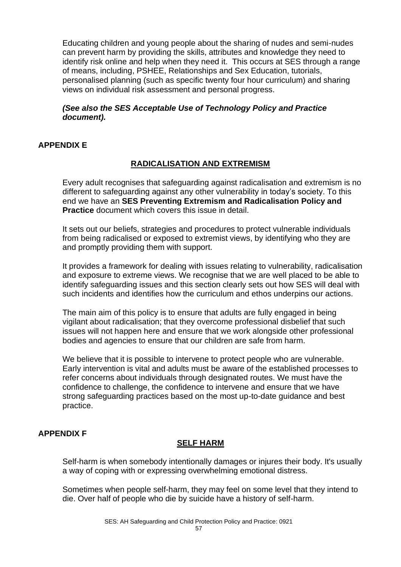Educating children and young people about the sharing of nudes and semi-nudes can prevent harm by providing the skills, attributes and knowledge they need to identify risk online and help when they need it. This occurs at SES through a range of means, including, PSHEE, Relationships and Sex Education, tutorials, personalised planning (such as specific twenty four hour curriculum) and sharing views on individual risk assessment and personal progress.

#### *(See also the SES Acceptable Use of Technology Policy and Practice document).*

# **APPENDIX E**

# **RADICALISATION AND EXTREMISM**

Every adult recognises that safeguarding against radicalisation and extremism is no different to safeguarding against any other vulnerability in today's society. To this end we have an **SES Preventing Extremism and Radicalisation Policy and Practice** document which covers this issue in detail.

It sets out our beliefs, strategies and procedures to protect vulnerable individuals from being radicalised or exposed to extremist views, by identifying who they are and promptly providing them with support.

It provides a framework for dealing with issues relating to vulnerability, radicalisation and exposure to extreme views. We recognise that we are well placed to be able to identify safeguarding issues and this section clearly sets out how SES will deal with such incidents and identifies how the curriculum and ethos underpins our actions.

The main aim of this policy is to ensure that adults are fully engaged in being vigilant about radicalisation; that they overcome professional disbelief that such issues will not happen here and ensure that we work alongside other professional bodies and agencies to ensure that our children are safe from harm.

We believe that it is possible to intervene to protect people who are vulnerable. Early intervention is vital and adults must be aware of the established processes to refer concerns about individuals through designated routes. We must have the confidence to challenge, the confidence to intervene and ensure that we have strong safeguarding practices based on the most up-to-date guidance and best practice.

# **APPENDIX F**

# **SELF HARM**

Self-harm is when somebody intentionally damages or injures their body. It's usually a way of coping with or expressing overwhelming emotional distress.

Sometimes when people self-harm, they may feel on some level that they intend to die. Over half of people who die by suicide have a history of self-harm.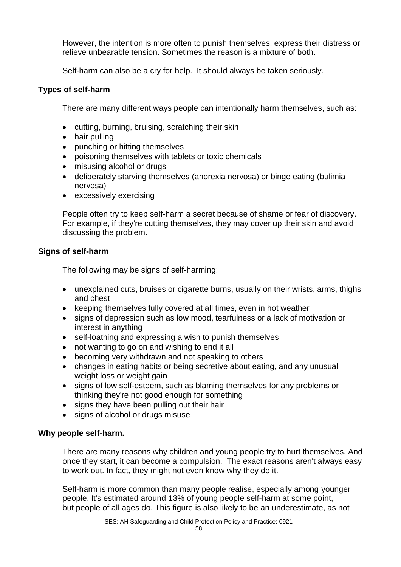However, the intention is more often to punish themselves, express their distress or relieve unbearable tension. Sometimes the reason is a mixture of both.

Self-harm can also be a cry for help. It should always be taken seriously.

#### **Types of self-harm**

There are many different ways people can intentionally harm themselves, such as:

- cutting, burning, bruising, scratching their skin
- hair pulling
- punching or hitting themselves
- poisoning themselves with tablets or toxic chemicals
- misusing alcohol or drugs
- deliberately starving themselves (anorexia nervosa) or binge eating (bulimia nervosa)
- excessively exercising

People often try to keep self-harm a secret because of shame or fear of discovery. For example, if they're cutting themselves, they may cover up their skin and avoid discussing the problem.

#### **Signs of self-harm**

The following may be signs of self-harming:

- unexplained cuts, bruises or cigarette burns, usually on their wrists, arms, thighs and chest
- keeping themselves fully covered at all times, even in hot weather
- signs of depression such as low mood, tearfulness or a lack of motivation or interest in anything
- self-loathing and expressing a wish to punish themselves
- not wanting to go on and wishing to end it all
- becoming very withdrawn and not speaking to others
- changes in eating habits or being secretive about eating, and any unusual weight loss or weight gain
- signs of low self-esteem, such as blaming themselves for any problems or thinking they're not good enough for something
- signs they have been pulling out their hair
- signs of alcohol or drugs misuse

# **Why people self-harm.**

There are many reasons why children and young people try to hurt themselves. And once they start, it can become a compulsion. The exact reasons aren't always easy to work out. In fact, they might not even know why they do it.

Self-harm is more common than many people realise, especially among younger people. It's estimated around 13% of young people self-harm at some point, but people of all ages do. This figure is also likely to be an underestimate, as not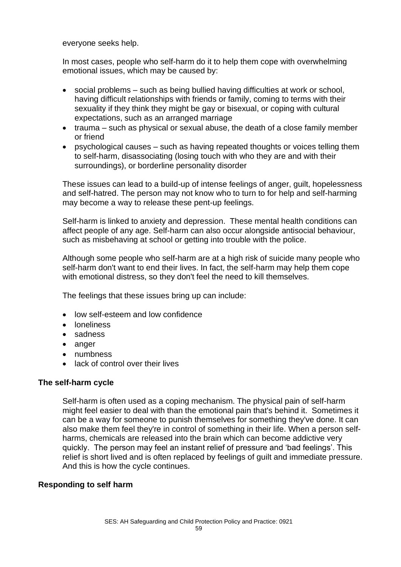everyone seeks help.

In most cases, people who self-harm do it to help them cope with overwhelming emotional issues, which may be caused by:

- social problems such as being bullied having difficulties at work or school, having difficult relationships with friends or family, coming to terms with their sexuality if they think they might be gay or bisexual, or coping with cultural expectations, such as an arranged marriage
- trauma such as physical or sexual abuse, the death of a close family member or friend
- psychological causes such as having repeated thoughts or voices telling them to self-harm, disassociating (losing touch with who they are and with their surroundings), or borderline personality disorder

These issues can lead to a build-up of intense feelings of anger, guilt, hopelessness and self-hatred. The person may not know who to turn to for help and self-harming may become a way to release these pent-up feelings.

Self-harm is linked to anxiety and depression. These mental health conditions can affect people of any age. Self-harm can also occur alongside antisocial behaviour, such as misbehaving at school or getting into trouble with the police.

Although some people who self-harm are at a high risk of suicide many people who self-harm don't want to end their lives. In fact, the self-harm may help them cope with emotional distress, so they don't feel the need to kill themselves.

The feelings that these issues bring up can include:

- low self-esteem and low confidence
- loneliness
- sadness
- anger
- numbness
- lack of control over their lives

#### **The self-harm cycle**

Self-harm is often used as a coping mechanism. The physical pain of self-harm might feel easier to deal with than the emotional pain that's behind it. Sometimes it can be a way for someone to punish themselves for something they've done. It can also make them feel they're in control of something in their life. When a person selfharms, chemicals are released into the brain which can become addictive very quickly. The person may feel an instant relief of pressure and 'bad feelings'. This relief is short lived and is often replaced by feelings of guilt and immediate pressure. And this is how the cycle continues.

#### **Responding to self harm**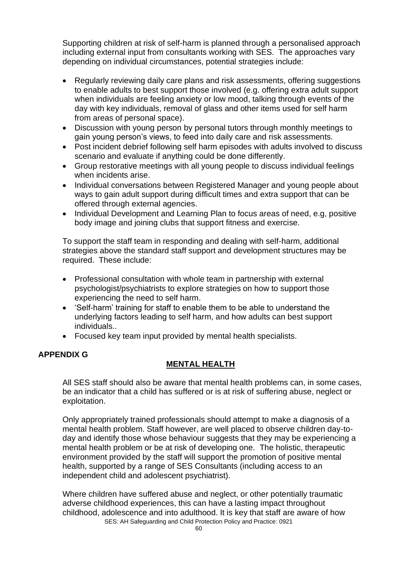Supporting children at risk of self-harm is planned through a personalised approach including external input from consultants working with SES. The approaches vary depending on individual circumstances, potential strategies include:

- Regularly reviewing daily care plans and risk assessments, offering suggestions to enable adults to best support those involved (e.g. offering extra adult support when individuals are feeling anxiety or low mood, talking through events of the day with key individuals, removal of glass and other items used for self harm from areas of personal space).
- Discussion with young person by personal tutors through monthly meetings to gain young person's views, to feed into daily care and risk assessments.
- Post incident debrief following self harm episodes with adults involved to discuss scenario and evaluate if anything could be done differently.
- Group restorative meetings with all young people to discuss individual feelings when incidents arise.
- Individual conversations between Registered Manager and young people about ways to gain adult support during difficult times and extra support that can be offered through external agencies.
- Individual Development and Learning Plan to focus areas of need, e.g, positive body image and joining clubs that support fitness and exercise.

To support the staff team in responding and dealing with self-harm, additional strategies above the standard staff support and development structures may be required. These include:

- Professional consultation with whole team in partnership with external psychologist/psychiatrists to explore strategies on how to support those experiencing the need to self harm.
- 'Self-harm' training for staff to enable them to be able to understand the underlying factors leading to self harm, and how adults can best support individuals..
- Focused key team input provided by mental health specialists.

# **APPENDIX G**

# **MENTAL HEALTH**

All SES staff should also be aware that mental health problems can, in some cases, be an indicator that a child has suffered or is at risk of suffering abuse, neglect or exploitation.

Only appropriately trained professionals should attempt to make a diagnosis of a mental health problem. Staff however, are well placed to observe children day-today and identify those whose behaviour suggests that they may be experiencing a mental health problem or be at risk of developing one. The holistic, therapeutic environment provided by the staff will support the promotion of positive mental health, supported by a range of SES Consultants (including access to an independent child and adolescent psychiatrist).

SES: AH Safeguarding and Child Protection Policy and Practice: 0921 Where children have suffered abuse and neglect, or other potentially traumatic adverse childhood experiences, this can have a lasting impact throughout childhood, adolescence and into adulthood. It is key that staff are aware of how